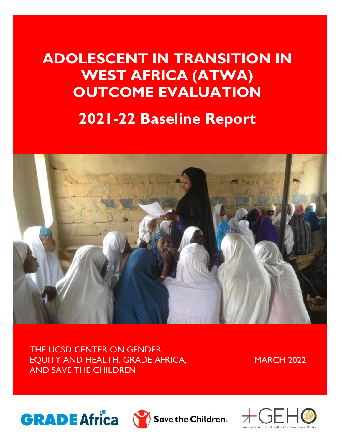# **ADOLESCENT IN TRANSITION IN WEST AFRICA (ATWA) OUTCOME EVALUATION**

# **2021-22 Baseline Report**



THE UCSD CENTER ON GENDER EQUITY AND HEALTH, GRADE AFRICA, AND SAVE THE CHILDREN

**MARCH 2022** 





 $\sum$  Save the Children.

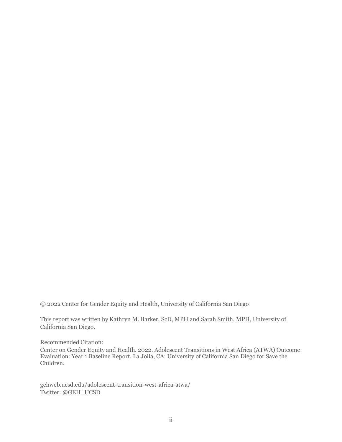© 2022 Center for Gender Equity and Health, University of California San Diego

This report was written by Kathryn M. Barker, ScD, MPH and Sarah Smith, MPH, University of California San Diego.

Recommended Citation:

Center on Gender Equity and Health. 2022. Adolescent Transitions in West Africa (ATWA) Outcome Evaluation: Year 1 Baseline Report. La Jolla, CA: University of California San Diego for Save the Children.

gehweb.ucsd.edu/adolescent-transition-west-africa-atwa/ Twitter: @GEH\_UCSD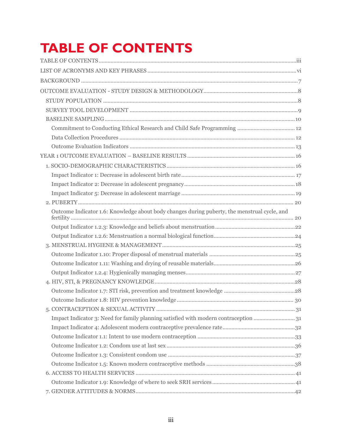# <span id="page-2-0"></span>**TABLE OF CONTENTS**

| Outcome Indicator 1.6: Knowledge about body changes during puberty, the menstrual cycle, and |  |
|----------------------------------------------------------------------------------------------|--|
|                                                                                              |  |
|                                                                                              |  |
|                                                                                              |  |
|                                                                                              |  |
|                                                                                              |  |
|                                                                                              |  |
|                                                                                              |  |
|                                                                                              |  |
|                                                                                              |  |
|                                                                                              |  |
| Impact Indicator 3: Need for family planning satisfied with modern contraception  31         |  |
|                                                                                              |  |
|                                                                                              |  |
|                                                                                              |  |
|                                                                                              |  |
|                                                                                              |  |
|                                                                                              |  |
|                                                                                              |  |
|                                                                                              |  |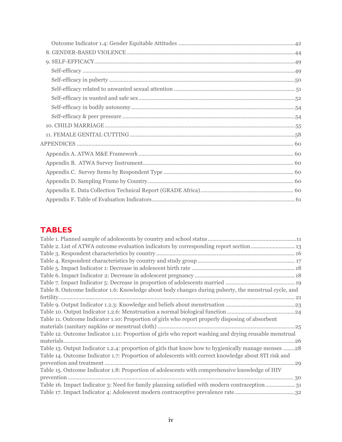# **TABLES**

| Table 2. List of ATWA outcome evaluation indicators by corresponding report section 13                 |
|--------------------------------------------------------------------------------------------------------|
|                                                                                                        |
|                                                                                                        |
|                                                                                                        |
|                                                                                                        |
|                                                                                                        |
| Table 8. Outcome Indicator 1.6: Knowledge about body changes during puberty, the menstrual cycle, and  |
|                                                                                                        |
|                                                                                                        |
|                                                                                                        |
| Table 11. Outcome Indicator 1.10: Proportion of girls who report properly disposing of absorbent       |
|                                                                                                        |
| Table 12. Outcome Indicator 1.11: Proportion of girls who report washing and drying reusable menstrual |
|                                                                                                        |
| Table 13. Output Indicator 1.2.4: proportion of girls that know how to hygienically manage menses 28   |
| Table 14. Outcome Indicator 1.7: Proportion of adolescents with correct knowledge about STI risk and   |
|                                                                                                        |
| Table 15. Outcome Indicator 1.8: Proportion of adolescents with comprehensive knowledge of HIV         |
|                                                                                                        |
| Table 16. Impact Indicator 3: Need for family planning satisfied with modern contraception31           |
|                                                                                                        |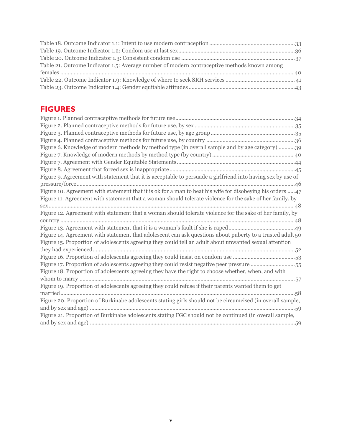| Table 21. Outcome Indicator 1.5: Average number of modern contraceptive methods known among |  |
|---------------------------------------------------------------------------------------------|--|
|                                                                                             |  |
|                                                                                             |  |
|                                                                                             |  |

## **FIGURES**

| Figure 6. Knowledge of modern methods by method type (in overall sample and by age category) 39             |
|-------------------------------------------------------------------------------------------------------------|
|                                                                                                             |
|                                                                                                             |
|                                                                                                             |
| Figure 9. Agreement with statement that it is acceptable to persuade a girlfriend into having sex by use of |
|                                                                                                             |
| Figure 10. Agreement with statement that it is ok for a man to beat his wife for disobeying his orders  47  |
| Figure 11. Agreement with statement that a woman should tolerate violence for the sake of her family, by    |
|                                                                                                             |
| Figure 12. Agreement with statement that a woman should tolerate violence for the sake of her family, by    |
|                                                                                                             |
|                                                                                                             |
| Figure 14. Agreement with statement that adolescent can ask questions about puberty to a trusted adult 50   |
| Figure 15. Proportion of adolescents agreeing they could tell an adult about unwanted sexual attention      |
|                                                                                                             |
|                                                                                                             |
| Figure 17. Proportion of adolescents agreeing they could resist negative peer pressure 55                   |
| Figure 18. Proportion of adolescents agreeing they have the right to choose whether, when, and with         |
|                                                                                                             |
| Figure 19. Proportion of adolescents agreeing they could refuse if their parents wanted them to get         |
|                                                                                                             |
| Figure 20. Proportion of Burkinabe adolescents stating girls should not be circumcised (in overall sample,  |
|                                                                                                             |
| Figure 21. Proportion of Burkinabe adolescents stating FGC should not be continued (in overall sample,      |
|                                                                                                             |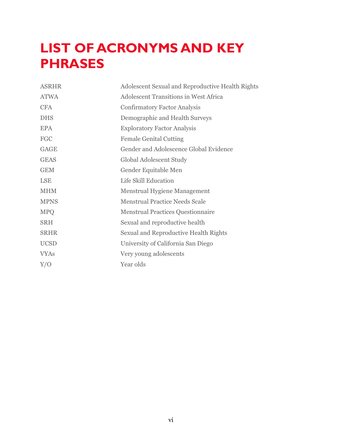# <span id="page-5-0"></span>**LIST OF ACRONYMS AND KEY PHRASES**

| <b>ASRHR</b> | Adolescent Sexual and Reproductive Health Rights |  |  |
|--------------|--------------------------------------------------|--|--|
| <b>ATWA</b>  | <b>Adolescent Transitions in West Africa</b>     |  |  |
| <b>CFA</b>   | <b>Confirmatory Factor Analysis</b>              |  |  |
| <b>DHS</b>   | Demographic and Health Surveys                   |  |  |
| <b>EPA</b>   | <b>Exploratory Factor Analysis</b>               |  |  |
| FGC          | <b>Female Genital Cutting</b>                    |  |  |
| <b>GAGE</b>  | Gender and Adolescence Global Evidence           |  |  |
| <b>GEAS</b>  | Global Adolescent Study                          |  |  |
| <b>GEM</b>   | Gender Equitable Men                             |  |  |
| <b>LSE</b>   | Life Skill Education                             |  |  |
| <b>MHM</b>   | Menstrual Hygiene Management                     |  |  |
| <b>MPNS</b>  | <b>Menstrual Practice Needs Scale</b>            |  |  |
| <b>MPQ</b>   | <b>Menstrual Practices Questionnaire</b>         |  |  |
| <b>SRH</b>   | Sexual and reproductive health                   |  |  |
| <b>SRHR</b>  | Sexual and Reproductive Health Rights            |  |  |
| <b>UCSD</b>  | University of California San Diego               |  |  |
| <b>VYAs</b>  | Very young adolescents                           |  |  |
| Y/O          | Year olds                                        |  |  |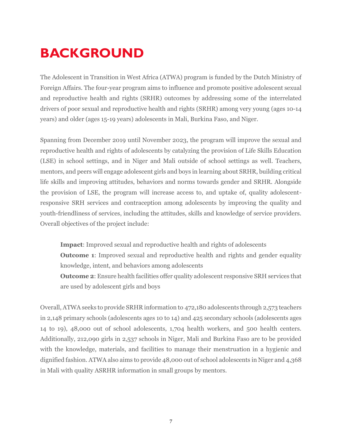# <span id="page-6-0"></span>**BACKGROUND**

The Adolescent in Transition in West Africa (ATWA) program is funded by the Dutch Ministry of Foreign Affairs. The four-year program aims to influence and promote positive adolescent sexual and reproductive health and rights (SRHR) outcomes by addressing some of the interrelated drivers of poor sexual and reproductive health and rights (SRHR) among very young (ages 10-14 years) and older (ages 15-19 years) adolescents in Mali, Burkina Faso, and Niger.

Spanning from December 2019 until November 2023, the program will improve the sexual and reproductive health and rights of adolescents by catalyzing the provision of Life Skills Education (LSE) in school settings, and in Niger and Mali outside of school settings as well. Teachers, mentors, and peers will engage adolescent girls and boys in learning about SRHR, building critical life skills and improving attitudes, behaviors and norms towards gender and SRHR. Alongside the provision of LSE, the program will increase access to, and uptake of, quality adolescentresponsive SRH services and contraception among adolescents by improving the quality and youth-friendliness of services, including the attitudes, skills and knowledge of service providers. Overall objectives of the project include:

**Impact**: Improved sexual and reproductive health and rights of adolescents

**Outcome 1:** Improved sexual and reproductive health and rights and gender equality knowledge, intent, and behaviors among adolescents

**Outcome 2**: Ensure health facilities offer quality adolescent responsive SRH services that are used by adolescent girls and boys

Overall, ATWA seeks to provide SRHR information to 472,180 adolescents through 2,573 teachers in 2,148 primary schools (adolescents ages 10 to 14) and 425 secondary schools (adolescents ages 14 to 19), 48,000 out of school adolescents, 1,704 health workers, and 500 health centers. Additionally, 212,090 girls in 2,537 schools in Niger, Mali and Burkina Faso are to be provided with the knowledge, materials, and facilities to manage their menstruation in a hygienic and dignified fashion. ATWA also aims to provide 48,000 out of school adolescents in Niger and 4,368 in Mali with quality ASRHR information in small groups by mentors.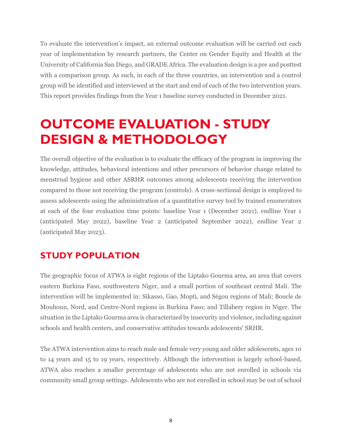To evaluate the intervention's impact, an external outcome evaluation will be carried out each year of implementation by research partners, the Center on Gender Equity and Health at the University of California San Diego, and GRADE Africa. The evaluation design is a pre and posttest with a comparison group. As such, in each of the three countries, an intervention and a control group will be identified and interviewed at the start and end of each of the two intervention years. This report provides findings from the Year 1 baseline survey conducted in December 2021.

# <span id="page-7-0"></span>**OUTCOME EVALUATION - STUDY DESIGN & METHODOLOGY**

The overall objective of the evaluation is to evaluate the efficacy of the program in improving the knowledge, attitudes, behavioral intentions and other precursors of behavior change related to menstrual hygiene and other ASRHR outcomes among adolescents receiving the intervention compared to those not receiving the program (controls). A cross-sectional design is employed to assess adolescents using the administration of a quantitative survey tool by trained enumerators at each of the four evaluation time points: baseline Year 1 (December 2021), endline Year 1 (anticipated May 2022), baseline Year 2 (anticipated September 2022), endline Year 2 (anticipated May 2023).

# <span id="page-7-1"></span>**STUDY POPULATION**

The geographic focus of ATWA is eight regions of the Liptako Gourma area, an area that covers eastern Burkina Faso, southwestern Niger, and a small portion of southeast central Mali. The intervention will be implemented in: Sikasso, Gao, Mopti, and Ségou regions of Mali; Boucle de Mouhoun, Nord, and Centre-Nord regions in Burkina Faso; and Tillabery region in Niger. The situation in the Liptako Gourma area is characterized by insecurity and violence, including against schools and health centers, and conservative attitudes towards adolescents' SRHR.

The ATWA intervention aims to reach male and female very young and older adolescents, ages 10 to 14 years and 15 to 19 years, respectively. Although the intervention is largely school-based, ATWA also reaches a smaller percentage of adolescents who are not enrolled in schools via community small group settings. Adolescents who are not enrolled in school may be out of school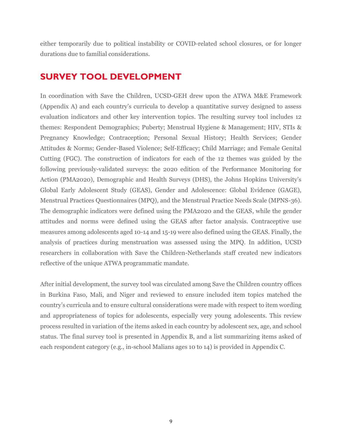either temporarily due to political instability or COVID-related school closures, or for longer durations due to familial considerations.

## <span id="page-8-0"></span>**SURVEY TOOL DEVELOPMENT**

In coordination with Save the Children, UCSD-GEH drew upon the ATWA M&E Framework (Appendix A) and each country's curricula to develop a quantitative survey designed to assess evaluation indicators and other key intervention topics. The resulting survey tool includes 12 themes: Respondent Demographics; Puberty; Menstrual Hygiene & Management; HIV, STIs & Pregnancy Knowledge; Contraception; Personal Sexual History; Health Services; Gender Attitudes & Norms; Gender-Based Violence; Self-Efficacy; Child Marriage; and Female Genital Cutting (FGC). The construction of indicators for each of the 12 themes was guided by the following previously-validated surveys: the 2020 edition of the Performance Monitoring for Action (PMA2020), Demographic and Health Surveys (DHS), the Johns Hopkins University's Global Early Adolescent Study (GEAS), Gender and Adolescence: Global Evidence (GAGE), Menstrual Practices Questionnaires (MPQ), and the Menstrual Practice Needs Scale (MPNS-36). The demographic indicators were defined using the PMA2020 and the GEAS, while the gender attitudes and norms were defined using the GEAS after factor analysis. Contraceptive use measures among adolescents aged 10-14 and 15-19 were also defined using the GEAS. Finally, the analysis of practices during menstruation was assessed using the MPQ. In addition, UCSD researchers in collaboration with Save the Children-Netherlands staff created new indicators reflective of the unique ATWA programmatic mandate.

After initial development, the survey tool was circulated among Save the Children country offices in Burkina Faso, Mali, and Niger and reviewed to ensure included item topics matched the country's curricula and to ensure cultural considerations were made with respect to item wording and appropriateness of topics for adolescents, especially very young adolescents. This review process resulted in variation of the items asked in each country by adolescent sex, age, and school status. The final survey tool is presented in Appendix B, and a list summarizing items asked of each respondent category (e.g., in-school Malians ages 10 to 14) is provided in Appendix C.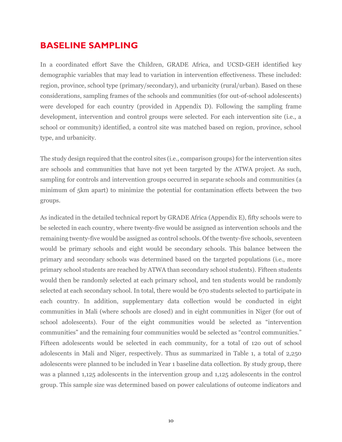### <span id="page-9-0"></span>**BASELINE SAMPLING**

In a coordinated effort Save the Children, GRADE Africa, and UCSD-GEH identified key demographic variables that may lead to variation in intervention effectiveness. These included: region, province, school type (primary/secondary), and urbanicity (rural/urban). Based on these considerations, sampling frames of the schools and communities (for out-of-school adolescents) were developed for each country (provided in Appendix D). Following the sampling frame development, intervention and control groups were selected. For each intervention site (i.e., a school or community) identified, a control site was matched based on region, province, school type, and urbanicity.

The study design required that the control sites (i.e., comparison groups) for the intervention sites are schools and communities that have not yet been targeted by the ATWA project. As such, sampling for controls and intervention groups occurred in separate schools and communities (a minimum of 5km apart) to minimize the potential for contamination effects between the two groups.

As indicated in the detailed technical report by GRADE Africa (Appendix E), fifty schools were to be selected in each country, where twenty-five would be assigned as intervention schools and the remaining twenty-five would be assigned as control schools. Of the twenty-five schools, seventeen would be primary schools and eight would be secondary schools. This balance between the primary and secondary schools was determined based on the targeted populations (i.e., more primary school students are reached by ATWA than secondary school students). Fifteen students would then be randomly selected at each primary school, and ten students would be randomly selected at each secondary school. In total, there would be 670 students selected to participate in each country. In addition, supplementary data collection would be conducted in eight communities in Mali (where schools are closed) and in eight communities in Niger (for out of school adolescents). Four of the eight communities would be selected as "intervention communities" and the remaining four communities would be selected as "control communities." Fifteen adolescents would be selected in each community, for a total of 12o out of school adolescents in Mali and Niger, respectively. Thus as summarized in Table 1, a total of 2,250 adolescents were planned to be included in Year 1 baseline data collection. By study group, there was a planned 1,125 adolescents in the intervention group and 1,125 adolescents in the control group. This sample size was determined based on power calculations of outcome indicators and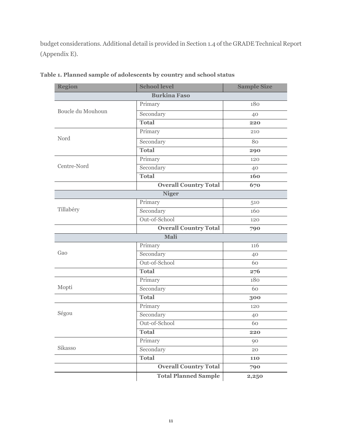budget considerations. Additional detail is provided in Section 1.4 of the GRADE Technical Report (Appendix E).

| <b>Region</b>       | <b>School level</b>          | <b>Sample Size</b> |  |  |
|---------------------|------------------------------|--------------------|--|--|
| <b>Burkina Faso</b> |                              |                    |  |  |
| Boucle du Mouhoun   | Primary                      | 180                |  |  |
|                     | Secondary                    | 40                 |  |  |
|                     | <b>Total</b>                 | 220                |  |  |
|                     | Primary                      | 210                |  |  |
| Nord                | Secondary                    | 80                 |  |  |
|                     | <b>Total</b>                 | 290                |  |  |
|                     | Primary                      | 120                |  |  |
| Centre-Nord         | Secondary                    | 40                 |  |  |
|                     | <b>Total</b>                 | 160                |  |  |
|                     | <b>Overall Country Total</b> | 670                |  |  |
|                     | <b>Niger</b>                 |                    |  |  |
|                     | Primary                      | 510                |  |  |
| Tillabéry           | Secondary                    | 160                |  |  |
|                     | Out-of-School                | 120                |  |  |
|                     | <b>Overall Country Total</b> | 790                |  |  |
|                     | Mali                         |                    |  |  |
|                     | Primary                      | 116                |  |  |
| Gao                 | Secondary                    | 40                 |  |  |
|                     | Out-of-School                | 60                 |  |  |
|                     | Total                        | 276                |  |  |
|                     | Primary                      | 180                |  |  |
| Mopti               | Secondary                    | 60                 |  |  |
|                     | <b>Total</b>                 | 300                |  |  |
|                     | Primary                      | 120                |  |  |
| Ségou               | Secondary                    | 40                 |  |  |
|                     | Out-of-School                | 60                 |  |  |
|                     | <b>Total</b>                 | 220                |  |  |
|                     | Primary                      | 90                 |  |  |
| Sikasso             | Secondary                    | 20                 |  |  |
|                     | <b>Total</b>                 | 110                |  |  |
|                     | <b>Overall Country Total</b> | 790                |  |  |
|                     | <b>Total Planned Sample</b>  | 2,250              |  |  |

<span id="page-10-0"></span>**Table 1. Planned sample of adolescents by country and school status**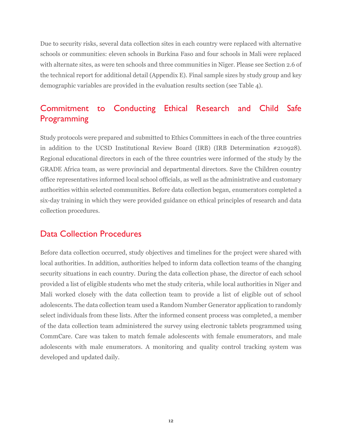Due to security risks, several data collection sites in each country were replaced with alternative schools or communities: eleven schools in Burkina Faso and four schools in Mali were replaced with alternate sites, as were ten schools and three communities in Niger. Please see Section 2.6 of the technical report for additional detail (Appendix E). Final sample sizes by study group and key demographic variables are provided in the evaluation results section (see Table 4).

# <span id="page-11-0"></span>Commitment to Conducting Ethical Research and Child Safe Programming

Study protocols were prepared and submitted to Ethics Committees in each of the three countries in addition to the UCSD Institutional Review Board (IRB) (IRB Determination #210928). Regional educational directors in each of the three countries were informed of the study by the GRADE Africa team, as were provincial and departmental directors. Save the Children country office representatives informed local school officials, as well as the administrative and customary authorities within selected communities. Before data collection began, enumerators completed a six-day training in which they were provided guidance on ethical principles of research and data collection procedures.

#### <span id="page-11-1"></span>Data Collection Procedures

Before data collection occurred, study objectives and timelines for the project were shared with local authorities. In addition, authorities helped to inform data collection teams of the changing security situations in each country. During the data collection phase, the director of each school provided a list of eligible students who met the study criteria, while local authorities in Niger and Mali worked closely with the data collection team to provide a list of eligible out of school adolescents. The data collection team used a Random Number Generator application to randomly select individuals from these lists. After the informed consent process was completed, a member of the data collection team administered the survey using electronic tablets programmed using CommCare. Care was taken to match female adolescents with female enumerators, and male adolescents with male enumerators. A monitoring and quality control tracking system was developed and updated daily.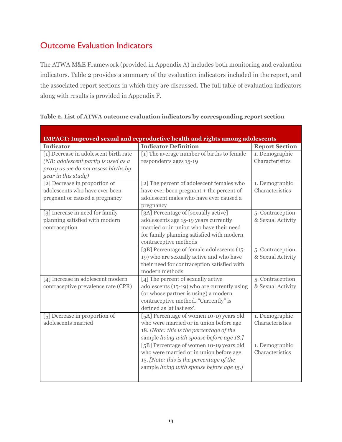# <span id="page-12-0"></span>Outcome Evaluation Indicators

The ATWA M&E Framework (provided in Appendix A) includes both monitoring and evaluation indicators. Table 2 provides a summary of the evaluation indicators included in the report, and the associated report sections in which they are discussed. The full table of evaluation indicators along with results is provided in Appendix F.

| <b>IMPACT: Improved sexual and reproductive health and rights among adolescents</b> |                                             |                       |  |
|-------------------------------------------------------------------------------------|---------------------------------------------|-----------------------|--|
| <b>Indicator</b>                                                                    | <b>Indicator Definition</b>                 | <b>Report Section</b> |  |
| [1] Decrease in adolescent birth rate                                               | [1] The average number of births to female  | 1. Demographic        |  |
| (NB: adolescent parity is used as a                                                 | respondents ages 15-19                      | Characteristics       |  |
| proxy as we do not assess births by                                                 |                                             |                       |  |
| year in this study)                                                                 |                                             |                       |  |
| [2] Decrease in proportion of                                                       | [2] The percent of adolescent females who   | 1. Demographic        |  |
| adolescents who have ever been                                                      | have ever been pregnant + the percent of    | Characteristics       |  |
| pregnant or caused a pregnancy                                                      | adolescent males who have ever caused a     |                       |  |
|                                                                                     | pregnancy                                   |                       |  |
| [3] Increase in need for family                                                     | [3A] Percentage of [sexually active]        | 5. Contraception      |  |
| planning satisfied with modern                                                      | adolescents age 15-19 years currently       | & Sexual Activity     |  |
| contraception                                                                       | married or in union who have their need     |                       |  |
|                                                                                     | for family planning satisfied with modern   |                       |  |
|                                                                                     | contraceptive methods                       |                       |  |
|                                                                                     | [3B] Percentage of female adolescents (15-  | 5. Contraception      |  |
|                                                                                     | 19) who are sexually active and who have    | & Sexual Activity     |  |
|                                                                                     | their need for contraception satisfied with |                       |  |
|                                                                                     | modern methods                              |                       |  |
| [4] Increase in adolescent modern                                                   | [4] The percent of sexually active          | 5. Contraception      |  |
| contraceptive prevalence rate (CPR)                                                 | adolescents (15-19) who are currently using | & Sexual Activity     |  |
|                                                                                     | (or whose partner is using) a modern        |                       |  |
|                                                                                     | contraceptive method. "Currently" is        |                       |  |
|                                                                                     | defined as 'at last sex'.                   |                       |  |
| [5] Decrease in proportion of                                                       | [5A] Percentage of women 10-19 years old    | 1. Demographic        |  |
| adolescents married                                                                 | who were married or in union before age     | Characteristics       |  |
|                                                                                     | 18. [Note: this is the percentage of the    |                       |  |
|                                                                                     | sample living with spouse before age 18.]   |                       |  |
|                                                                                     | [5B] Percentage of women 10-19 years old    | 1. Demographic        |  |
|                                                                                     | who were married or in union before age     | Characteristics       |  |
|                                                                                     | 15. [Note: this is the percentage of the    |                       |  |
|                                                                                     | sample living with spouse before age 15.]   |                       |  |
|                                                                                     |                                             |                       |  |

#### <span id="page-12-1"></span>**Table 2. List of ATWA outcome evaluation indicators by corresponding report section**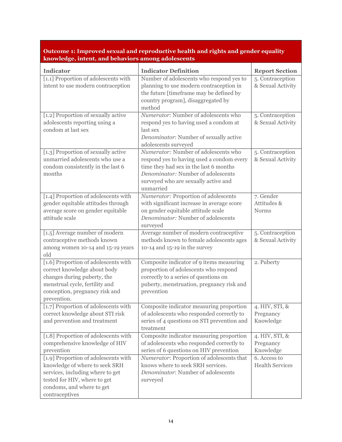#### **Outcome 1: Improved sexual and reproductive health and rights and gender equality knowledge, intent, and behaviors among adolescents**

| <b>Indicator</b>                                                   | <b>Indicator Definition</b>                                                        | <b>Report Section</b>  |
|--------------------------------------------------------------------|------------------------------------------------------------------------------------|------------------------|
| [1.1] Proportion of adolescents with                               | Number of adolescents who respond yes to                                           | 5. Contraception       |
| intent to use modern contraception                                 | planning to use modern contraception in                                            | & Sexual Activity      |
|                                                                    | the future [timeframe may be defined by<br>country program], disaggregated by      |                        |
|                                                                    | method                                                                             |                        |
| [1.2] Proportion of sexually active                                | Numerator: Number of adolescents who                                               | 5. Contraception       |
| adolescents reporting using a                                      | respond yes to having used a condom at                                             | & Sexual Activity      |
| condom at last sex                                                 | last sex                                                                           |                        |
|                                                                    | Denominator: Number of sexually active                                             |                        |
|                                                                    | adolescents surveyed                                                               |                        |
| [1.3] Proportion of sexually active                                | Numerator: Number of adolescents who                                               | 5. Contraception       |
| unmarried adolescents who use a                                    | respond yes to having used a condom every                                          | & Sexual Activity      |
| condom consistently in the last 6                                  | time they had sex in the last 6 months                                             |                        |
| months                                                             | Denominator: Number of adolescents                                                 |                        |
|                                                                    | surveyed who are sexually active and<br>unmarried                                  |                        |
| [1.4] Proportion of adolescents with                               | Numerator: Proportion of adolescents                                               | 7. Gender              |
| gender equitable attitudes through                                 | with significant increase in average score                                         | Attitudes &            |
| average score on gender equitable                                  | on gender equitable attitude scale                                                 | <b>Norms</b>           |
| attitude scale                                                     | Denominator: Number of adolescents                                                 |                        |
|                                                                    | surveyed                                                                           |                        |
| [1.5] Average number of modern                                     | Average number of modern contraceptive                                             | 5. Contraception       |
| contraceptive methods known                                        | methods known to female adolescents ages                                           | & Sexual Activity      |
| among women 10-14 and 15-19 years                                  | 10-14 and 15-19 in the survey                                                      |                        |
| old                                                                |                                                                                    |                        |
| [1.6] Proportion of adolescents with                               | Composite indicator of 9 items measuring                                           | 2. Puberty             |
| correct knowledge about body                                       | proportion of adolescents who respond                                              |                        |
| changes during puberty, the<br>menstrual cycle, fertility and      | correctly to a series of questions on<br>puberty, menstruation, pregnancy risk and |                        |
| conception, pregnancy risk and                                     | prevention                                                                         |                        |
| prevention.                                                        |                                                                                    |                        |
| [1.7] Proportion of adolescents with                               | Composite indicator measuring proportion                                           | 4. HIV, STI, &         |
| correct knowledge about STI risk                                   | of adolescents who responded correctly to                                          | Pregnancy              |
| and prevention and treatment                                       | series of 4 questions on STI prevention and                                        | Knowledge              |
|                                                                    | treatment                                                                          |                        |
| [1.8] Proportion of adolescents with                               | Composite indicator measuring proportion                                           | 4. HIV, STI, &         |
| comprehensive knowledge of HIV                                     | of adolescents who responded correctly to                                          | Pregnancy              |
| prevention                                                         | series of 6 questions on HIV prevention                                            | Knowledge              |
| [1.9] Proportion of adolescents with                               | Numerator: Proportion of adolescents that<br>knows where to seek SRH services.     | 6. Access to           |
| knowledge of where to seek SRH<br>services, including where to get | Denominator: Number of adolescents                                                 | <b>Health Services</b> |
| tested for HIV, where to get                                       | surveyed                                                                           |                        |
| condoms, and where to get                                          |                                                                                    |                        |
| contraceptives                                                     |                                                                                    |                        |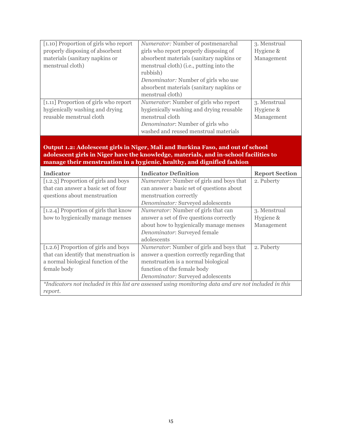| [1.10] Proportion of girls who report | <i>Numerator:</i> Number of postmenarchal   | 3. Menstrual |
|---------------------------------------|---------------------------------------------|--------------|
| properly disposing of absorbent       | girls who report properly disposing of      | Hygiene &    |
| materials (sanitary napkins or        | absorbent materials (sanitary napkins or    | Management   |
| menstrual cloth)                      | menstrual cloth) (i.e., putting into the    |              |
|                                       | rubbish)                                    |              |
|                                       | <i>Denominator:</i> Number of girls who use |              |
|                                       | absorbent materials (sanitary napkins or    |              |
|                                       | menstrual cloth)                            |              |
| [1.11] Proportion of girls who report | Numerator: Number of girls who report       | 3. Menstrual |
| hygienically washing and drying       | hygienically washing and drying reusable    | Hygiene &    |
| reusable menstrual cloth              | menstrual cloth                             | Management   |
|                                       | Denominator: Number of girls who            |              |
|                                       | washed and reused menstrual materials       |              |

#### **Output 1.2: Adolescent girls in Niger, Mali and Burkina Faso, and out of school adolescent girls in Niger have the knowledge, materials, and in-school facilities to manage their menstruation in a hygienic, healthy, and dignified fashion**

| <b>Indicator</b>                                                                                      | <b>Indicator Definition</b>                | <b>Report Section</b> |  |
|-------------------------------------------------------------------------------------------------------|--------------------------------------------|-----------------------|--|
| [1.2.3] Proportion of girls and boys                                                                  | Numerator: Number of girls and boys that   | 2. Puberty            |  |
| that can answer a basic set of four                                                                   | can answer a basic set of questions about  |                       |  |
| questions about menstruation                                                                          | menstruation correctly                     |                       |  |
|                                                                                                       | Denominator: Surveyed adolescents          |                       |  |
| [1.2.4] Proportion of girls that know                                                                 | <i>Numerator:</i> Number of girls that can | 3. Menstrual          |  |
| how to hygienically manage menses                                                                     | answer a set of five questions correctly   | Hygiene &             |  |
|                                                                                                       | about how to hygienically manage menses    | Management            |  |
|                                                                                                       | Denominator: Surveyed female               |                       |  |
|                                                                                                       | adolescents                                |                       |  |
| [1.2.6] Proportion of girls and boys                                                                  | Numerator: Number of girls and boys that   | 2. Puberty            |  |
| that can identify that menstruation is                                                                | answer a question correctly regarding that |                       |  |
| a normal biological function of the                                                                   | menstruation is a normal biological        |                       |  |
| female body                                                                                           | function of the female body                |                       |  |
|                                                                                                       | Denominator: Surveyed adolescents          |                       |  |
| *Indicators not included in this list are assessed using monitoring data and are not included in this |                                            |                       |  |
| report.                                                                                               |                                            |                       |  |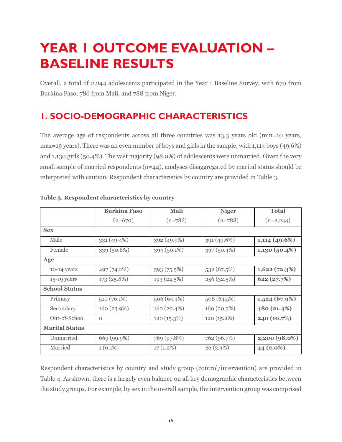# <span id="page-15-0"></span>**YEAR 1 OUTCOME EVALUATION – BASELINE RESULTS**

Overall, a total of 2,244 adolescents participated in the Year 1 Baseline Survey, with 670 from Burkina Faso, 786 from Mali, and 788 from Niger.

# <span id="page-15-1"></span>**1. SOCIO-DEMOGRAPHIC CHARACTERISTICS**

The average age of respondents across all three countries was 13.3 years old (min=10 years, max=19 years). There was an even number of boys and girls in the sample, with 1,114 boys (49.6%) and 1,130 girls (50.4%). The vast majority (98.0%) of adolescents were unmarried. Given the very small sample of married respondents (n=44), analyses disaggregated by marital status should be interpreted with caution. Respondent characteristics by country are provided in Table 3.

|                       | <b>Burkina Faso</b> | Mali        | <b>Niger</b>  | <b>Total</b>    |
|-----------------------|---------------------|-------------|---------------|-----------------|
|                       | $(n=670)$           | $(n=786)$   | $(n=788)$     | $(n=2,244)$     |
| <b>Sex</b>            |                     |             |               |                 |
| Male                  | 331 (49.4%)         | 392(49.9%)  | 391 (49.6%)   | $1,114$ (49.6%) |
| Female                | 339 (50.6%)         | 394 (50.1%) | 397 (50.4%)   | $1,130(50.4\%)$ |
| Age                   |                     |             |               |                 |
| $10-14$ years         | 497 (74.2%)         | 593 (75.5%) | 532(67.5%)    | 1,622(72.3%)    |
| 15-19 years           | 173 (25.8%)         | 193 (24.5%) | 256 (32.5%)   | 622(27.7%)      |
| <b>School Status</b>  |                     |             |               |                 |
| Primary               | $510(76.1\%)$       | 506 (64.4%) | 508 (64.5%)   | 1,524(67.9%)    |
| Secondary             | 160(23.9%)          | 160 (20.4%) | 160(20.3%)    | 480 (21.4%)     |
| Out-of-School         | $\Omega$            | 120(15.3%)  | $120(15.2\%)$ | 240 (10.7%)     |
| <b>Marital Status</b> |                     |             |               |                 |
| Unmarried             | 669 (99.9%)         | 769 (97.8%) | 762 (96.7%)   | $2,200(98.0\%)$ |
| Married               | $1(0.1\%)$          | $17(1.2\%)$ | 26(3.3%)      | 44 (2.0%)       |

#### <span id="page-15-2"></span>**Table 3. Respondent characteristics by country**

Respondent characteristics by country and study group (control/intervention) are provided in Table 4. As shown, there is a largely even balance on all key demographic characteristics between the study groups. For example, by sex in the overall sample, the intervention group was comprised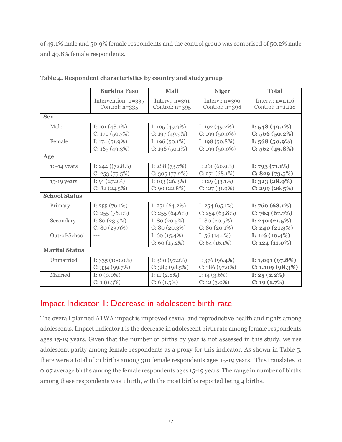of 49.1% male and 50.9% female respondents and the control group was comprised of 50.2% male and 49.8% female respondents.

|                       | <b>Burkina Faso</b> | Mali             | <b>Niger</b>      | <b>Total</b>       |
|-----------------------|---------------------|------------------|-------------------|--------------------|
|                       | Intervention: n=335 | Interv.: $n=391$ | Interv.: $n=390$  | Interv.: $n=1,116$ |
|                       | Control: $n=335$    | Control: $n=395$ | Control: n=398    | Control: $n=1,128$ |
|                       |                     |                  |                   |                    |
| <b>Sex</b>            |                     |                  |                   |                    |
| Male                  | I: $161(48.1\%)$    | I: $195(49.9\%)$ | I: $192(49.2\%)$  | I: $548(49.1\%)$   |
|                       | $C: 170(50.7\%)$    | $C: 197(49.9\%)$ | $C: 199(50.0\%)$  | C: 566(50.2%)      |
| Female                | I: $174(51.9%)$     | I: $196(50.1\%)$ | I: $198(50.8\%)$  | I: $568(50.9\%)$   |
|                       | C: 165 (49.3%)      | $C: 198(50.1\%)$ | $C: 199(50.0\%)$  | C: 562 (49.8%)     |
| Age                   |                     |                  |                   |                    |
| 10-14 years           | I: 244 $((72.8%)$   | I: $288(73.7\%)$ | I: $261(66.9\%)$  | I: 793 $(71.1\%)$  |
|                       | C: 253(75.5%)       | C: 305(77.2%)    | $C: 271 (68.1\%)$ | C: 829 (73.5%)     |
| 15-19 years           | I: $91(27.2%)$      | I: $103(26.3%)$  | I: $129(33.1\%)$  | I: $323(28.9%)$    |
|                       | C: 82(24.5%)        | C: 90(22.8%)     | $C: 127(31.9\%)$  | C: 299 (26.5%)     |
| <b>School Status</b>  |                     |                  |                   |                    |
| Primary               | I: $255(76.1\%)$    | I: $251(64.2\%)$ | I: $254(65.1\%)$  | I: 760 $(68.1\%)$  |
|                       | $C: 255 (76.1\%)$   | $C: 255(64.6\%)$ | $C: 254(63.8\%)$  | C: 764 (67.7%)     |
| Secondary             | I: 80 $(23.9\%)$    | I: 80 $(20.5\%)$ | I: $80(20.5\%)$   | I: 240 $(21.5\%)$  |
|                       | $C: 80(23.9\%)$     | $C: 80(20.3\%)$  | $C: 80(20.1\%)$   | C: 240 (21.3%)     |
| Out-of-School         | $---$               | I: 60 $(15.4\%)$ | I: $56(14.4\%)$   | I: 116 $(10.4\%)$  |
|                       |                     | C: 60(15.2%)     | $C: 64(16.1\%)$   | $C: 124(11.0\%)$   |
| <b>Marital Status</b> |                     |                  |                   |                    |
| Unmarried             | I: $335(100.0\%)$   | I: $380(97.2\%)$ | I: $376(96.4\%)$  | I: $1,091(97.8%)$  |
|                       | C: 334 (99.7%)      | C: 389(98.5%)    | $C: 386(97.0\%)$  | C: 1,109 (98.3%)   |
| Married               | I: $0(0.0\%)$       | I: $11(2.8\%)$   | I: $14(3.6\%)$    | I: $25(2.2\%)$     |
|                       | $C: 1(0.3\%)$       | C: 6(1.5%)       | $C: 12(3.0\%)$    | C: 19(1.7%)        |

<span id="page-16-1"></span>**Table 4. Respondent characteristics by country and study group**

### <span id="page-16-0"></span>Impact Indicator 1: Decrease in adolescent birth rate

The overall planned ATWA impact is improved sexual and reproductive health and rights among adolescents. Impact indicator 1 is the decrease in adolescent birth rate among female respondents ages 15-19 years. Given that the number of births by year is not assessed in this study, we use adolescent parity among female respondents as a proxy for this indicator. As shown in Table 5, there were a total of 21 births among 310 female respondents ages 15-19 years. This translates to 0.07 average births among the female respondents ages 15-19 years. The range in number of births among these respondents was 1 birth, with the most births reported being 4 births.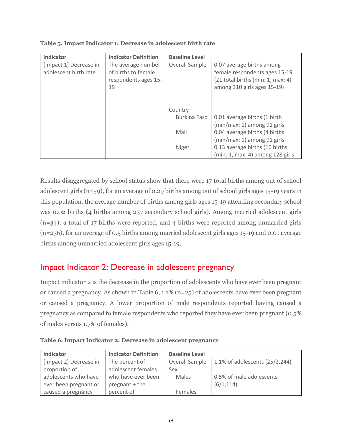| Indicator              | <b>Indicator Definition</b> | <b>Baseline Level</b> |                                   |
|------------------------|-----------------------------|-----------------------|-----------------------------------|
| [Impact 1] Decrease in | The average number          | Overall Sample        | 0.07 average births among         |
| adolescent birth rate  | of births to female         |                       | female respondents ages 15-19     |
|                        | respondents ages 15-        |                       | (21 total births (min: 1, max: 4) |
|                        | 19                          |                       | among 310 girls ages 15-19)       |
|                        |                             |                       |                                   |
|                        |                             |                       |                                   |
|                        |                             | Country               |                                   |
|                        |                             | Burkina Faso          | 0.01 average births (1 birth      |
|                        |                             |                       | (min/max: 1) among 91 girls       |
|                        |                             | Mali                  | 0.04 average births (4 births     |
|                        |                             |                       | (min/max: 1) among 91 girls       |
|                        |                             | Niger                 | 0.13 average births (16 births    |
|                        |                             |                       | (min: 1, max: 4) among 128 girls  |

<span id="page-17-1"></span>**Table 5. Impact Indicator 1: Decrease in adolescent birth rate**

Results disaggregated by school status show that there were 17 total births among out of school adolescent girls (n=59), for an average of 0.29 births among out of school girls ages 15-19 years in this population. the average number of births among girls ages 15-19 attending secondary school was 0.02 births (4 births among 237 secondary school girls). Among married adolescent girls (n=34), a total of 17 births were reported, and 4 births were reported among unmarried girls (n=276), for an average of 0.5 births among married adolescent girls ages 15-19 and 0.01 average births among unmarried adolescent girls ages 15-19.

### <span id="page-17-0"></span>Impact Indicator 2: Decrease in adolescent pregnancy

Impact indicator 2 is the decrease in the proportion of adolescents who have ever been pregnant or caused a pregnancy. As shown in Table 6, 1.1% (n=25) of adolescents have ever been pregnant or caused a pregnancy. A lower proportion of male respondents reported having caused a pregnancy as compared to female respondents who reported they have ever been pregnant (0.5% of males versus 1.7% of females).

| Indicator              | <b>Indicator Definition</b> | <b>Baseline Level</b> |                                |
|------------------------|-----------------------------|-----------------------|--------------------------------|
| [Impact 2] Decrease in | The percent of              | Overall Sample        | 1.1% of adolescents (25/2,244) |
| proportion of          | adolescent females          | Sex                   |                                |
| adolescents who have   | who have ever been          | Males                 | 0.5% of male adolescents       |
| ever been pregnant or  | pregnant + the              |                       | (6/1, 114)                     |
| caused a pregnancy     | percent of                  | Females               |                                |

<span id="page-17-2"></span>**Table 6. Impact Indicator 2: Decrease in adolescent pregnancy**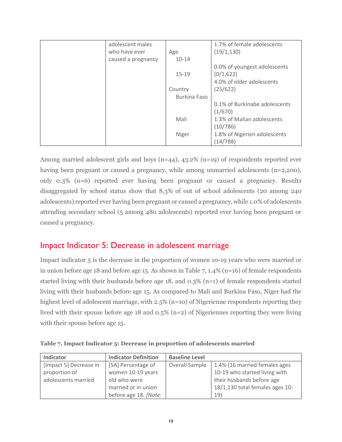| adolescent males   |                     | 1.7% of female adolescents    |
|--------------------|---------------------|-------------------------------|
| who have ever      | Age                 | (19/1, 130)                   |
| caused a pregnancy | $10 - 14$           |                               |
|                    |                     | 0.0% of youngest adolescents  |
|                    | $15 - 19$           | (0/1, 622)                    |
|                    |                     | 4.0% of older adolescents     |
|                    | Country             | (25/622)                      |
|                    | <b>Burkina Faso</b> |                               |
|                    |                     | 0.1% of Burkinabe adolescents |
|                    |                     | (1/670)                       |
|                    | Mali                | 1.3% of Malian adolescents    |
|                    |                     | (10/786)                      |
|                    | Niger               | 1.8% of Nigerien adolescents  |
|                    |                     | (14/788)                      |

Among married adolescent girls and boys  $(n=44)$ ,  $43.2\%$   $(n=19)$  of respondents reported ever having been pregnant or caused a pregnancy, while among unmarried adolescents (n=2,200), only 0.3% (n=6) reported ever having been pregnant or caused a pregnancy. Results disaggregated by school status show that 8.3% of out of school adolescents (20 among 240 adolescents) reported ever having been pregnant or caused a pregnancy, while 1.0% of adolescents attending secondary school (5 among 480 adolescents) reported ever having been pregnant or caused a pregnancy.

### <span id="page-18-0"></span>Impact Indicator 5: Decrease in adolescent marriage

Impact indicator 5 is the decrease in the proportion of women 10-19 years who were married or in union before age 18 and before age 15. As shown in Table 7, 1.4% (n=16) of female respondents started living with their husbands before age 18, and 0.3% (n=1) of female respondents started living with their husbands before age 15. As compared to Mali and Burkina Faso, Niger had the highest level of adolescent marriage, with 2.5% (n=10) of Nigerienne respondents reporting they lived with their spouse before age 18 and 0.5% (n=2) of Nigeriennes reporting they were living with their spouse before age 15.

<span id="page-18-1"></span>

|  | Table 7. Impact Indicator 5: Decrease in proportion of adolescents married |  |  |  |
|--|----------------------------------------------------------------------------|--|--|--|
|  |                                                                            |  |  |  |

| Indicator              | <b>Indicator Definition</b> | <b>Baseline Level</b> |                                 |
|------------------------|-----------------------------|-----------------------|---------------------------------|
| [Impact 5] Decrease in | [5A] Percentage of          | Overall Sample        | 1.4% (16 married females ages   |
| proportion of          | women 10-19 years           |                       | 10-19 who started living with   |
| adolescents married    | old who were                |                       | their husbands before age       |
|                        | married or in union         |                       | 18/1,130 total females ages 10- |
|                        | before age 18. [Note:       |                       | 19)                             |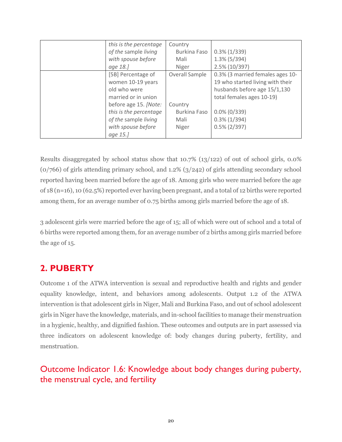| this is the percentage | Country             |                                  |
|------------------------|---------------------|----------------------------------|
| of the sample living   | <b>Burkina Faso</b> | $0.3\%$ (1/339)                  |
| with spouse before     | Mali                | $1.3\%$ (5/394)                  |
| age 18.]               | Niger               | 2.5% (10/397)                    |
| [5B] Percentage of     | Overall Sample      | 0.3% (3 married females ages 10- |
| women 10-19 years      |                     | 19 who started living with their |
| old who were           |                     | husbands before age 15/1,130     |
| married or in union    |                     | total females ages 10-19)        |
| before age 15. [Note:  | Country             |                                  |
| this is the percentage | <b>Burkina Faso</b> | $0.0\%$ (0/339)                  |
| of the sample living   | Mali                | $0.3\%$ (1/394)                  |
| with spouse before     | Niger               | $0.5\%$ (2/397)                  |
| age 15.]               |                     |                                  |

Results disaggregated by school status show that 10.7% (13/122) of out of school girls, 0.0% (0/766) of girls attending primary school, and 1.2% (3/242) of girls attending secondary school reported having been married before the age of 18. Among girls who were married before the age of 18 (n=16), 10 (62.5%) reported ever having been pregnant, and a total of 12 births were reported among them, for an average number of 0.75 births among girls married before the age of 18.

3 adolescent girls were married before the age of 15; all of which were out of school and a total of 6 births were reported among them, for an average number of 2 births among girls married before the age of 15.

# <span id="page-19-0"></span>**2. PUBERTY**

Outcome 1 of the ATWA intervention is sexual and reproductive health and rights and gender equality knowledge, intent, and behaviors among adolescents. Output 1.2 of the ATWA intervention is that adolescent girls in Niger, Mali and Burkina Faso, and out of school adolescent girls in Niger have the knowledge, materials, and in-school facilities to manage their menstruation in a hygienic, healthy, and dignified fashion. These outcomes and outputs are in part assessed via three indicators on adolescent knowledge of: body changes during puberty, fertility, and menstruation.

# <span id="page-19-1"></span>Outcome Indicator 1.6: Knowledge about body changes during puberty, the menstrual cycle, and fertility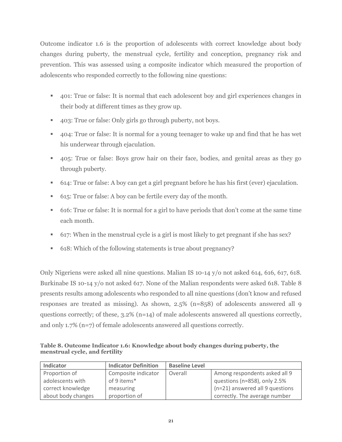Outcome indicator 1.6 is the proportion of adolescents with correct knowledge about body changes during puberty, the menstrual cycle, fertility and conception, pregnancy risk and prevention. This was assessed using a composite indicator which measured the proportion of adolescents who responded correctly to the following nine questions:

- 401: True or false: It is normal that each adolescent boy and girl experiences changes in their body at different times as they grow up.
- 403: True or false: Only girls go through puberty, not boys.
- 404: True or false: It is normal for a young teenager to wake up and find that he has wet his underwear through ejaculation.
- 405: True or false: Boys grow hair on their face, bodies, and genital areas as they go through puberty.
- 614: True or false: A boy can get a girl pregnant before he has his first (ever) ejaculation.
- 615: True or false: A boy can be fertile every day of the month.
- 616: True or false: It is normal for a girl to have periods that don't come at the same time each month.
- 617: When in the menstrual cycle is a girl is most likely to get pregnant if she has sex?
- 618: Which of the following statements is true about pregnancy?

Only Nigeriens were asked all nine questions. Malian IS 10-14 y/o not asked 614, 616, 617, 618. Burkinabe IS 10-14 y/o not asked 617. None of the Malian respondents were asked 618. Table 8 presents results among adolescents who responded to all nine questions (don't know and refused responses are treated as missing). As shown, 2.5% (n=858) of adolescents answered all 9 questions correctly; of these, 3.2% (n=14) of male adolescents answered all questions correctly, and only 1.7% (n=7) of female adolescents answered all questions correctly.

<span id="page-20-0"></span>**Table 8. Outcome Indicator 1.6: Knowledge about body changes during puberty, the menstrual cycle, and fertility**

| Indicator          | <b>Indicator Definition</b> | <b>Baseline Level</b> |                                 |
|--------------------|-----------------------------|-----------------------|---------------------------------|
| Proportion of      | Composite indicator         | Overall               | Among respondents asked all 9   |
| adolescents with   | of 9 items*                 |                       | questions (n=858), only 2.5%    |
| correct knowledge  | measuring                   |                       | (n=21) answered all 9 questions |
| about body changes | proportion of               |                       | correctly. The average number   |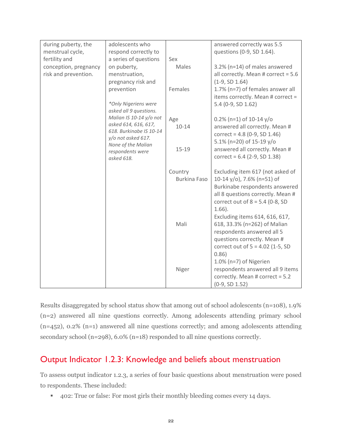| during puberty, the   | adolescents who                          |                     | answered correctly was 5.5            |
|-----------------------|------------------------------------------|---------------------|---------------------------------------|
| menstrual cycle,      | respond correctly to                     |                     | questions (0-9, SD 1.64).             |
| fertility and         | a series of questions                    | Sex                 |                                       |
| conception, pregnancy | on puberty,                              | Males               | 3.2% (n=14) of males answered         |
| risk and prevention.  | menstruation,                            |                     | all correctly. Mean # correct = $5.6$ |
|                       | pregnancy risk and                       |                     | $(1-9, SD 1.64)$                      |
|                       | prevention                               | Females             | 1.7% (n=7) of females answer all      |
|                       |                                          |                     | items correctly. Mean # correct =     |
|                       | *Only Nigeriens were                     |                     | 5.4 (0-9, SD 1.62)                    |
|                       | asked all 9 questions.                   |                     |                                       |
|                       | Malian IS 10-14 y/o not                  | Age                 | $0.2\%$ (n=1) of 10-14 y/o            |
|                       | asked 614, 616, 617,                     | $10 - 14$           | answered all correctly. Mean #        |
|                       | 618. Burkinabe IS 10-14                  |                     | correct = $4.8$ (0-9, SD 1.46)        |
|                       | y/o not asked 617.<br>None of the Malian |                     | 5.1% (n=20) of 15-19 y/o              |
|                       | respondents were                         | $15 - 19$           | answered all correctly. Mean #        |
|                       | asked 618.                               |                     | correct = $6.4$ (2-9, SD 1.38)        |
|                       |                                          |                     |                                       |
|                       |                                          | Country             | Excluding item 617 (not asked of      |
|                       |                                          | <b>Burkina Faso</b> | 10-14 y/o), 7.6% (n=51) of            |
|                       |                                          |                     | Burkinabe respondents answered        |
|                       |                                          |                     | all 8 questions correctly. Mean #     |
|                       |                                          |                     | correct out of $8 = 5.4$ (0-8, SD     |
|                       |                                          |                     | $1.66$ ).                             |
|                       |                                          |                     | Excluding items 614, 616, 617,        |
|                       |                                          | Mali                | 618, 33.3% (n=262) of Malian          |
|                       |                                          |                     | respondents answered all 5            |
|                       |                                          |                     | questions correctly. Mean #           |
|                       |                                          |                     | correct out of $5 = 4.02$ (1-5, SD    |
|                       |                                          |                     | 0.86)                                 |
|                       |                                          |                     | 1.0% ( $n=7$ ) of Nigerien            |
|                       |                                          | Niger               | respondents answered all 9 items      |
|                       |                                          |                     | correctly. Mean # correct = 5.2       |
|                       |                                          |                     | $(0-9, SD 1.52)$                      |

Results disaggregated by school status show that among out of school adolescents (n=108), 1.9% (n=2) answered all nine questions correctly. Among adolescents attending primary school (n=452), 0.2% (n=1) answered all nine questions correctly; and among adolescents attending secondary school (n=298), 6.0% (n=18) responded to all nine questions correctly.

### <span id="page-21-0"></span>Output Indicator 1.2.3: Knowledge and beliefs about menstruation

To assess output indicator 1.2.3, a series of four basic questions about menstruation were posed to respondents. These included:

▪ 402: True or false: For most girls their monthly bleeding comes every 14 days.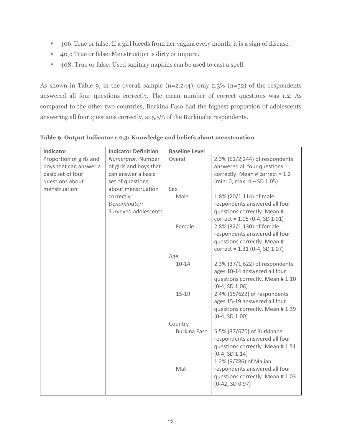- 406. True or false: If a girl bleeds from her vagina every month, it is a sign of disease.
- 407: True or false: Menstruation is dirty or impure.
- 408: True or false: Used sanitary napkins can be used to cast a spell.

As shown in Table 9, in the overall sample  $(n=2,244)$ , only 2.3%  $(n=52)$  of the respondents answered all four questions correctly. The mean number of correct questions was 1.2. As compared to the other two countries, Burkina Faso had the highest proportion of adolescents answering all four questions correctly, at 5.5% of the Burkinabe respondents.

| Indicator               | <b>Indicator Definition</b> | <b>Baseline Level</b> |                                                     |
|-------------------------|-----------------------------|-----------------------|-----------------------------------------------------|
| Proportion of girls and | Numerator: Number           | Overall               | 2.3% (52/2,244) of respondents                      |
| boys that can answer a  | of girls and boys that      |                       | answered all four questions                         |
| basic set of four       | can answer a basic          |                       | correctly. Mean # correct = $1.2$                   |
| questions about         | set of questions            |                       | $(min: 0, max: 4 - SD 1.05)$                        |
| menstruation            | about menstruation          | Sex                   |                                                     |
|                         | correctly                   | Male                  | 1.8% (20/1,114) of male                             |
|                         | Denominator:                |                       | respondents answered all four                       |
|                         | Surveyed adolescents        |                       | questions correctly. Mean #                         |
|                         |                             |                       | $correct = 1.05 (0-4, SD 1.01)$                     |
|                         |                             | Female                | 2.8% (32/1,130) of female                           |
|                         |                             |                       | respondents answered all four                       |
|                         |                             |                       | questions correctly. Mean #                         |
|                         |                             |                       | correct = $1.31$ (0-4, SD 1.07)                     |
|                         |                             | Age                   |                                                     |
|                         |                             | $10 - 14$             | 2.3% (37/1,622) of respondents                      |
|                         |                             |                       | ages 10-14 answered all four                        |
|                         |                             |                       | questions correctly. Mean #1.10                     |
|                         |                             |                       | $(0-4, SD 1.06)$                                    |
|                         |                             | $15 - 19$             | 2.4% (15/622) of respondents                        |
|                         |                             |                       | ages 15-19 answered all four                        |
|                         |                             |                       | questions correctly. Mean #1.39<br>$(0-4, SD 1.00)$ |
|                         |                             | Country               |                                                     |
|                         |                             | <b>Burkina Faso</b>   | 5.5% (37/670) of Burkinabe                          |
|                         |                             |                       | respondents answered all four                       |
|                         |                             |                       | questions correctly. Mean #1.51                     |
|                         |                             |                       | $(0-4, SD 1.14)$                                    |
|                         |                             |                       | 1.2% (9/786) of Malian                              |
|                         |                             | Mali                  | respondents answered all four                       |
|                         |                             |                       | questions correctly. Mean #1.03                     |
|                         |                             |                       | $(0-42, SD 0.97)$                                   |
|                         |                             |                       |                                                     |

<span id="page-22-0"></span>**Table 9. Output Indicator 1.2.3: Knowledge and beliefs about menstruation**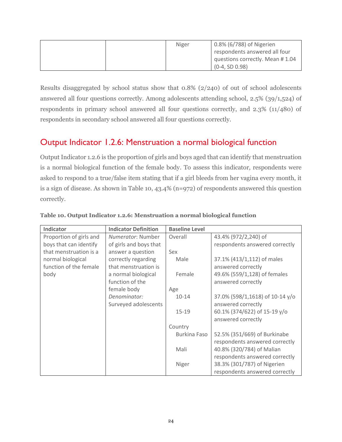|  | Niger | 0.8% (6/788) of Nigerien        |
|--|-------|---------------------------------|
|  |       | respondents answered all four   |
|  |       | questions correctly. Mean #1.04 |
|  |       | $(0-4, SD 0.98)$                |

Results disaggregated by school status show that 0.8% (2/240) of out of school adolescents answered all four questions correctly. Among adolescents attending school, 2.5% (39/1,524) of respondents in primary school answered all four questions correctly, and 2.3% (11/480) of respondents in secondary school answered all four questions correctly.

## <span id="page-23-0"></span>Output Indicator 1.2.6: Menstruation a normal biological function

Output Indicator 1.2.6 is the proportion of girls and boys aged that can identify that menstruation is a normal biological function of the female body. To assess this indicator, respondents were asked to respond to a true/false item stating that if a girl bleeds from her vagina every month, it is a sign of disease. As shown in Table 10, 43.4% (n=972) of respondents answered this question correctly.

| Indicator               | <b>Indicator Definition</b> | <b>Baseline Level</b> |                                 |
|-------------------------|-----------------------------|-----------------------|---------------------------------|
| Proportion of girls and | <i>Numerator:</i> Number    | Overall               | 43.4% (972/2,240) of            |
| boys that can identify  | of girls and boys that      |                       | respondents answered correctly  |
| that menstruation is a  | answer a question           | Sex                   |                                 |
| normal biological       | correctly regarding         | Male                  | 37.1% (413/1,112) of males      |
| function of the female  | that menstruation is        |                       | answered correctly              |
| body                    | a normal biological         | Female                | 49.6% (559/1,128) of females    |
|                         | function of the             |                       | answered correctly              |
|                         | female body                 | Age                   |                                 |
|                         | Denominator:                | $10 - 14$             | 37.0% (598/1,1618) of 10-14 y/o |
|                         | Surveyed adolescents        |                       | answered correctly              |
|                         |                             | 15-19                 | 60.1% (374/622) of 15-19 y/o    |
|                         |                             |                       | answered correctly              |
|                         |                             | Country               |                                 |
|                         |                             | <b>Burkina Faso</b>   | 52.5% (351/669) of Burkinabe    |
|                         |                             |                       | respondents answered correctly  |
|                         |                             | Mali                  | 40.8% (320/784) of Malian       |
|                         |                             |                       | respondents answered correctly  |
|                         |                             | Niger                 | 38.3% (301/787) of Nigerien     |
|                         |                             |                       | respondents answered correctly  |

#### <span id="page-23-1"></span>**Table 10. Output Indicator 1.2.6: Menstruation a normal biological function**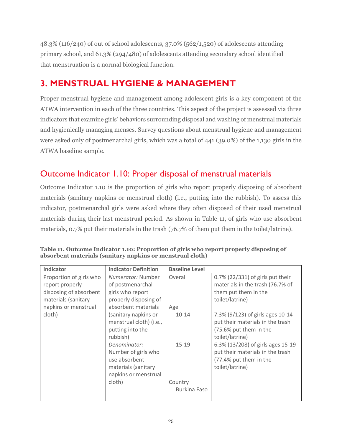48.3% (116/240) of out of school adolescents, 37.0% (562/1,520) of adolescents attending primary school, and 61.3% (294/480) of adolescents attending secondary school identified that menstruation is a normal biological function.

# <span id="page-24-0"></span>**3. MENSTRUAL HYGIENE & MANAGEMENT**

Proper menstrual hygiene and management among adolescent girls is a key component of the ATWA intervention in each of the three countries. This aspect of the project is assessed via three indicators that examine girls' behaviors surrounding disposal and washing of menstrual materials and hygienically managing menses. Survey questions about menstrual hygiene and management were asked only of postmenarchal girls, which was a total of 441 (39.0%) of the 1,130 girls in the ATWA baseline sample.

# <span id="page-24-1"></span>Outcome Indicator 1.10: Proper disposal of menstrual materials

Outcome Indicator 1.10 is the proportion of girls who report properly disposing of absorbent materials (sanitary napkins or menstrual cloth) (i.e., putting into the rubbish). To assess this indicator, postmenarchal girls were asked where they often disposed of their used menstrual materials during their last menstrual period. As shown in Table 11, of girls who use absorbent materials, 0.7% put their materials in the trash (76.7% of them put them in the toilet/latrine).

| Indicator                                                                                                           | <b>Indicator Definition</b>                                                                               | <b>Baseline Level</b>   |                                                                                                                    |
|---------------------------------------------------------------------------------------------------------------------|-----------------------------------------------------------------------------------------------------------|-------------------------|--------------------------------------------------------------------------------------------------------------------|
| Proportion of girls who<br>report properly<br>disposing of absorbent<br>materials (sanitary<br>napkins or menstrual | Numerator: Number<br>of postmenarchal<br>girls who report<br>properly disposing of<br>absorbent materials | Overall<br>Age          | 0.7% (22/331) of girls put their<br>materials in the trash (76.7% of<br>them put them in the<br>toilet/latrine)    |
| cloth)                                                                                                              | (sanitary napkins or<br>menstrual cloth) (i.e.,<br>putting into the<br>rubbish)                           | $10 - 14$               | 7.3% (9/123) of girls ages 10-14<br>put their materials in the trash<br>(75.6% put them in the<br>toilet/latrine)  |
|                                                                                                                     | Denominator:<br>Number of girls who<br>use absorbent<br>materials (sanitary<br>napkins or menstrual       | $15 - 19$               | 6.3% (13/208) of girls ages 15-19<br>put their materials in the trash<br>(77.4% put them in the<br>toilet/latrine) |
|                                                                                                                     | cloth)                                                                                                    | Country<br>Burkina Faso |                                                                                                                    |

<span id="page-24-2"></span>**Table 11. Outcome Indicator 1.10: Proportion of girls who report properly disposing of absorbent materials (sanitary napkins or menstrual cloth)**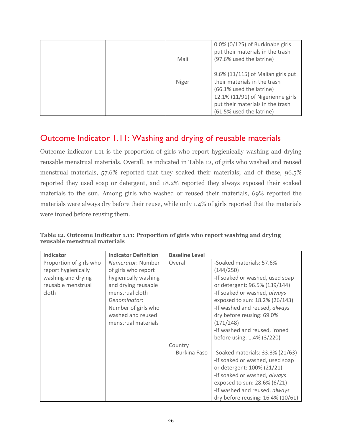|  | Mali  | 0.0% (0/125) of Burkinabe girls<br>put their materials in the trash<br>(97.6% used the latrine)                                                                                                    |
|--|-------|----------------------------------------------------------------------------------------------------------------------------------------------------------------------------------------------------|
|  | Niger | 9.6% (11/115) of Malian girls put<br>their materials in the trash<br>(66.1% used the latrine)<br>12.1% (11/91) of Nigerienne girls<br>put their materials in the trash<br>(61.5% used the latrine) |

# <span id="page-25-0"></span>Outcome Indicator 1.11: Washing and drying of reusable materials

Outcome indicator 1.11 is the proportion of girls who report hygienically washing and drying reusable menstrual materials. Overall, as indicated in Table 12, of girls who washed and reused menstrual materials, 57.6% reported that they soaked their materials; and of these, 96.5% reported they used soap or detergent, and 18.2% reported they always exposed their soaked materials to the sun. Among girls who washed or reused their materials, 69% reported the materials were always dry before their reuse, while only 1.4% of girls reported that the materials were ironed before reusing them.

| Indicator               | <b>Indicator Definition</b> | <b>Baseline Level</b> |                                   |
|-------------------------|-----------------------------|-----------------------|-----------------------------------|
| Proportion of girls who | Numerator: Number           | Overall               | -Soaked materials: 57.6%          |
| report hygienically     | of girls who report         |                       | (144/250)                         |
| washing and drying      | hygienically washing        |                       | -If soaked or washed, used soap   |
| reusable menstrual      | and drying reusable         |                       | or detergent: 96.5% (139/144)     |
| cloth                   | menstrual cloth             |                       | -If soaked or washed, always      |
|                         | Denominator:                |                       | exposed to sun: 18.2% (26/143)    |
|                         | Number of girls who         |                       | -If washed and reused, always     |
|                         | washed and reused           |                       | dry before reusing: 69.0%         |
|                         | menstrual materials         |                       | (171/248)                         |
|                         |                             |                       | -If washed and reused, ironed     |
|                         |                             |                       | before using: 1.4% (3/220)        |
|                         |                             | Country               |                                   |
|                         |                             | Burkina Faso          | -Soaked materials: 33.3% (21/63)  |
|                         |                             |                       | -If soaked or washed, used soap   |
|                         |                             |                       | or detergent: 100% (21/21)        |
|                         |                             |                       | -If soaked or washed, always      |
|                         |                             |                       | exposed to sun: 28.6% (6/21)      |
|                         |                             |                       | -If washed and reused, always     |
|                         |                             |                       | dry before reusing: 16.4% (10/61) |

<span id="page-25-1"></span>**Table 12. Outcome Indicator 1.11: Proportion of girls who report washing and drying reusable menstrual materials**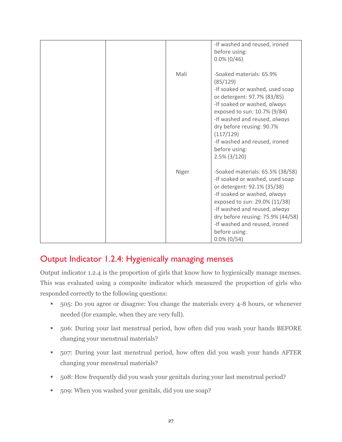|       | -If washed and reused, ironed<br>before using:<br>$0.0\%$ (0/46)                                                                                                                                                                                                                                                       |
|-------|------------------------------------------------------------------------------------------------------------------------------------------------------------------------------------------------------------------------------------------------------------------------------------------------------------------------|
| Mali  | -Soaked materials: 65.9%<br>(85/129)<br>-If soaked or washed, used soap<br>or detergent: 97.7% (83/85)<br>-If soaked or washed, always<br>exposed to sun: 10.7% (9/84)<br>-If washed and reused, always<br>dry before reusing: 90.7%<br>(117/129)<br>-If washed and reused, ironed<br>before using:<br>$2.5\%$ (3/120) |
| Niger | -Soaked materials: 65.5% (38/58)<br>-If soaked or washed, used soap<br>or detergent: 92.1% (35/38)<br>-If soaked or washed, always<br>exposed to sun: 29.0% (11/38)<br>-If washed and reused, always<br>dry before reusing: 75.9% (44/58)<br>-If washed and reused, ironed<br>before using:<br>$0.0\%$ (0/54)          |

# <span id="page-26-0"></span>Output Indicator 1.2.4: Hygienically managing menses

Output indicator 1.2.4 is the proportion of girls that know how to hygienically manage menses. This was evaluated using a composite indicator which measured the proportion of girls who responded correctly to the following questions:

- 505: Do you agree or disagree: You change the materials every 4-8 hours, or whenever needed (for example, when they are very full).
- 506: During your last menstrual period, how often did you wash your hands BEFORE changing your menstrual materials?
- 507: During your last menstrual period, how often did you wash your hands AFTER changing your menstrual materials?
- 508: How frequently did you wash your genitals during your last menstrual period?
- 509: When you washed your genitals, did you use soap?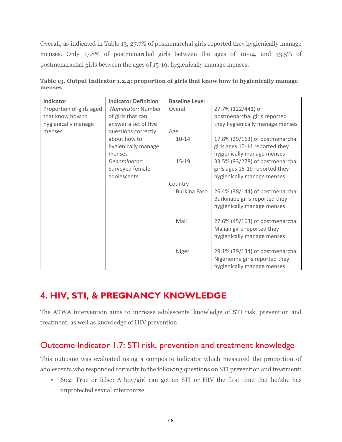Overall, as indicated in Table 13, 27.7% of posmenarchal girls reported they hygienically manage menses. Only 17.8% of postmenarchal girls between the ages of 10-14, and 33.5% of postmenarachal girls between the ages of 15-19, hygienically manage menses.

| Indicator                | <b>Indicator Definition</b> | <b>Baseline Level</b> |                                 |
|--------------------------|-----------------------------|-----------------------|---------------------------------|
| Proportion of girls aged | <i>Numerator:</i> Number    | Overall               | 27.7% (122/441) of              |
| that know how to         | of girls that can           |                       | postmenarchal girls reported    |
| hygienically manage      | answer a set of five        |                       | they hygienically manage menses |
| menses                   | questions correctly         | Age                   |                                 |
|                          | about how to                | $10 - 14$             | 17.8% (29/163) of postmenarchal |
|                          | hygienically manage         |                       | girls ages 10-14 reported they  |
|                          | menses                      |                       | hygienically manage menses      |
|                          | Denominator:                | $15 - 19$             | 33.5% (93/278) of postmenarchal |
|                          | Surveyed female             |                       | girls ages 15-19 reported they  |
|                          | adolescents                 |                       | hygienically manage menses      |
|                          |                             | Country               |                                 |
|                          |                             | Burkina Faso          | 26.4% (38/144) of postmenarchal |
|                          |                             |                       | Burkinabe girls reported they   |
|                          |                             |                       | hygienically manage menses      |
|                          |                             |                       |                                 |
|                          |                             | Mali                  | 27.6% (45/163) of postmenarchal |
|                          |                             |                       | Malian girls reported they      |
|                          |                             |                       | hygienically manage menses      |
|                          |                             | Niger                 | 29.1% (39/134) of postmenarchal |
|                          |                             |                       | Nigerienne girls reported they  |
|                          |                             |                       | hygienically manage menses      |
|                          |                             |                       |                                 |

<span id="page-27-2"></span>**Table 13. Output Indicator 1.2.4: proportion of girls that know how to hygienically manage menses**

# <span id="page-27-0"></span>**4. HIV, STI, & PREGNANCY KNOWLEDGE**

The ATWA intervention aims to increase adolescents' knowledge of STI risk, prevention and treatment, as well as knowledge of HIV prevention.

# <span id="page-27-1"></span>Outcome Indicator 1.7: STI risk, prevention and treatment knowledge

This outcome was evaluated using a composite indicator which measured the proportion of adolescents who responded correctly to the following questions on STI prevention and treatment:

■ 602: True or false: A boy/girl can get an STI or HIV the first time that he/she has unprotected sexual intercourse.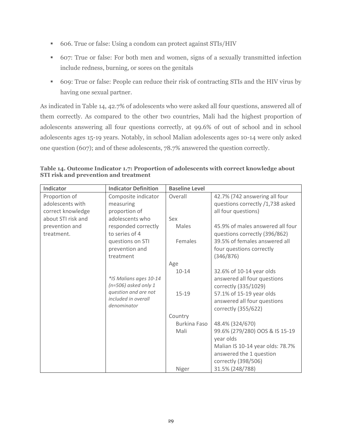- 606. True or false: Using a condom can protect against STIs/HIV
- 607: True or false: For both men and women, signs of a sexually transmitted infection include redness, burning, or sores on the genitals
- 609: True or false: People can reduce their risk of contracting STIs and the HIV virus by having one sexual partner.

As indicated in Table 14, 42.7% of adolescents who were asked all four questions, answered all of them correctly. As compared to the other two countries, Mali had the highest proportion of adolescents answering all four questions correctly, at 99.6% of out of school and in school adolescents ages 15-19 years. Notably, in school Malian adolescents ages 10-14 were only asked one question (607); and of these adolescents, 78.7% answered the question correctly.

<span id="page-28-0"></span>**Table 14. Outcome Indicator 1.7: Proportion of adolescents with correct knowledge about STI risk and prevention and treatment**

| Indicator          | <b>Indicator Definition</b> | <b>Baseline Level</b> |                                  |
|--------------------|-----------------------------|-----------------------|----------------------------------|
| Proportion of      | Composite indicator         | Overall               | 42.7% (742 answering all four    |
| adolescents with   | measuring                   |                       | questions correctly /1,738 asked |
| correct knowledge  | proportion of               |                       | all four questions)              |
| about STI risk and | adolescents who             | Sex                   |                                  |
| prevention and     | responded correctly         | Males                 | 45.9% of males answered all four |
| treatment.         | to series of 4              |                       | questions correctly (396/862)    |
|                    | questions on STI            | Females               | 39.5% of females answered all    |
|                    | prevention and              |                       | four questions correctly         |
|                    | treatment                   |                       | (346/876)                        |
|                    |                             | Age                   |                                  |
|                    |                             | $10 - 14$             | 32.6% of 10-14 year olds         |
|                    | *IS Malians ages 10-14      |                       | answered all four questions      |
|                    | $(n=506)$ asked only 1      |                       | correctly (335/1029)             |
|                    | question and are not        | $15 - 19$             | 57.1% of 15-19 year olds         |
|                    | included in overall         |                       | answered all four questions      |
|                    | denominator                 |                       | correctly (355/622)              |
|                    |                             | Country               |                                  |
|                    |                             | <b>Burkina Faso</b>   | 48.4% (324/670)                  |
|                    |                             | Mali                  | 99.6% (279/280) OOS & IS 15-19   |
|                    |                             |                       | year olds                        |
|                    |                             |                       | Malian IS 10-14 year olds: 78.7% |
|                    |                             |                       | answered the 1 question          |
|                    |                             |                       | correctly (398/506)              |
|                    |                             | Niger                 | 31.5% (248/788)                  |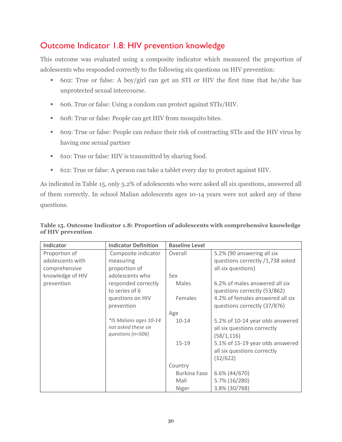# <span id="page-29-0"></span>Outcome Indicator 1.8: HIV prevention knowledge

This outcome was evaluated using a composite indicator which measured the proportion of adolescents who responded correctly to the following six questions on HIV prevention:

- 602: True or false: A boy/girl can get an STI or HIV the first time that he/she has unprotected sexual intercourse.
- 606. True or false: Using a condom can protect against STIs/HIV.
- 608: True or false: People can get HIV from mosquito bites.
- 609: True or false: People can reduce their risk of contracting STIs and the HIV virus by having one sexual partner
- 610: True or false: HIV is transmitted by sharing food.
- 612: True or false: A person can take a tablet every day to protect against HIV.

As indicated in Table 15, only 5.2% of adolescents who were asked all six questions, answered all of them correctly. In school Malian adolescents ages 10-14 years were not asked any of these questions.

| Indicator        | <b>Indicator Definition</b> | <b>Baseline Level</b> |                                  |
|------------------|-----------------------------|-----------------------|----------------------------------|
| Proportion of    | Composite indicator         | Overall               | 5.2% (90 answering all six       |
| adolescents with | measuring                   |                       | questions correctly /1,738 asked |
| comprehensive    | proportion of               |                       | all six questions)               |
| knowledge of HIV | adolescents who             | Sex                   |                                  |
| prevention       | responded correctly         | Males                 | 6.2% of males answered all six   |
|                  | to series of 6              |                       | questions correctly (53/862)     |
|                  | questions on HIV            | Females               | 4.2% of females answered all six |
|                  | prevention                  |                       | questions correctly (37/876)     |
|                  |                             | Age                   |                                  |
|                  | *IS Malians ages 10-14      | $10 - 14$             | 5.2% of 10-14 year olds answered |
|                  | not asked these six         |                       | all six questions correctly      |
|                  | questions (n=506)           |                       | (58/1, 116)                      |
|                  |                             | $15 - 19$             | 5.1% of 15-19 year olds answered |
|                  |                             |                       | all six questions correctly      |
|                  |                             |                       | (32/622)                         |
|                  |                             | Country               |                                  |
|                  |                             | Burkina Faso          | 6.6% (44/670)                    |
|                  |                             | Mali                  | 5.7% (16/280)                    |
|                  |                             | Niger                 | 3.8% (30/788)                    |

<span id="page-29-1"></span>**Table 15. Outcome Indicator 1.8: Proportion of adolescents with comprehensive knowledge of HIV prevention**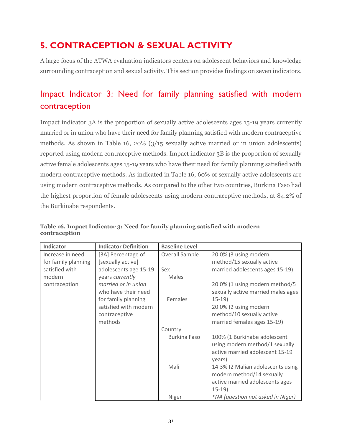# <span id="page-30-0"></span>**5. CONTRACEPTION & SEXUAL ACTIVITY**

A large focus of the ATWA evaluation indicators centers on adolescent behaviors and knowledge surrounding contraception and sexual activity. This section provides findings on seven indicators.

# <span id="page-30-1"></span>Impact Indicator 3: Need for family planning satisfied with modern contraception

Impact indicator 3A is the proportion of sexually active adolescents ages 15-19 years currently married or in union who have their need for family planning satisfied with modern contraceptive methods. As shown in Table 16, 20% (3/15 sexually active married or in union adolescents) reported using modern contraceptive methods. Impact indicator 3B is the proportion of sexually active female adolescents ages 15-19 years who have their need for family planning satisfied with modern contraceptive methods. As indicated in Table 16, 60% of sexually active adolescents are using modern contraceptive methods. As compared to the other two countries, Burkina Faso had the highest proportion of female adolescents using modern contraceptive methods, at 84.2% of the Burkinabe respondents.

| <b>Indicator</b>    | <b>Indicator Definition</b> | <b>Baseline Level</b> |                                    |
|---------------------|-----------------------------|-----------------------|------------------------------------|
| Increase in need    | [3A] Percentage of          | Overall Sample        | 20.0% (3 using modern              |
| for family planning | [sexually active]           |                       | method/15 sexually active          |
| satisfied with      | adolescents age 15-19       | Sex                   | married adolescents ages 15-19)    |
| modern              | years currently             | Males                 |                                    |
| contraception       | married or in union         |                       | 20.0% (1 using modern method/5     |
|                     | who have their need         |                       | sexually active married males ages |
|                     | for family planning         | Females               | $15-19)$                           |
|                     | satisfied with modern       |                       | 20.0% (2 using modern              |
|                     | contraceptive               |                       | method/10 sexually active          |
|                     | methods                     |                       | married females ages 15-19)        |
|                     |                             | Country               |                                    |
|                     |                             | <b>Burkina Faso</b>   | 100% (1 Burkinabe adolescent       |
|                     |                             |                       | using modern method/1 sexually     |
|                     |                             |                       | active married adolescent 15-19    |
|                     |                             |                       | years)                             |
|                     |                             | Mali                  | 14.3% (2 Malian adolescents using  |
|                     |                             |                       | modern method/14 sexually          |
|                     |                             |                       | active married adolescents ages    |
|                     |                             |                       | $15-19$                            |
|                     |                             | Niger                 | *NA (question not asked in Niger)  |

#### <span id="page-30-2"></span>**Table 16. Impact Indicator 3: Need for family planning satisfied with modern contraception**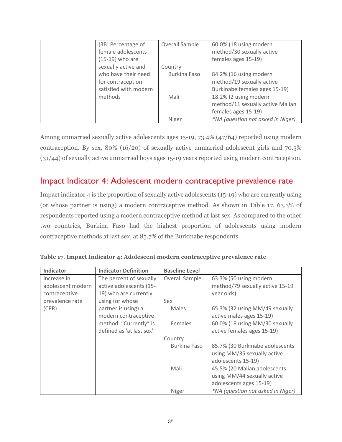| [3B] Percentage of<br>female adolescents   | Overall Sample | 60.0% (18 using modern<br>method/30 sexually active        |
|--------------------------------------------|----------------|------------------------------------------------------------|
| (15-19) who are<br>sexually active and     | Country        | females ages 15-19)                                        |
| who have their need                        | Burkina Faso   | 84.2% (16 using modern                                     |
| for contraception<br>satisfied with modern |                | method/19 sexually active<br>Burkinabe females ages 15-19) |
| methods                                    | Mali           | 18.2% (2 using modern                                      |
|                                            |                | method/11 sexually active Malian<br>females ages 15-19)    |
|                                            | Niger          | *NA (question not asked in Niger)                          |

Among unmarried sexually active adolescents ages 15-19, 73.4% (47/64) reported using modern contraception. By sex, 80% (16/20) of sexually active unmarried adolescent girls and 70.5% (31/44) of sexually active unmarried boys ages 15-19 years reported using modern contraception.

#### <span id="page-31-0"></span>Impact Indicator 4: Adolescent modern contraceptive prevalence rate

Impact indicator 4 is the proportion of sexually active adolescents (15-19) who are currently using (or whose partner is using) a modern contraceptive method. As shown in Table 17, 63.3% of respondents reported using a modern contraceptive method at last sex. As compared to the other two countries, Burkina Faso had the highest proportion of adolescents using modern contraceptive methods at last sex, at 85.7% of the Burkinabe respondents.

| Indicator         | <b>Indicator Definition</b> | <b>Baseline Level</b> |                                   |
|-------------------|-----------------------------|-----------------------|-----------------------------------|
| Increase in       | The percent of sexually     | Overall Sample        | 63.3% (50 using modern            |
| adolescent modern | active adolescents (15-     |                       | method/79 sexually active 15-19   |
| contraceptive     | 19) who are currently       |                       | year olds)                        |
| prevalence rate   | using (or whose             | Sex                   |                                   |
| (CPR)             | partner is using) a         | <b>Males</b>          | 65.3% (32 using MM/49 sexually    |
|                   | modern contraceptive        |                       | active males ages 15-19)          |
|                   | method. "Currently" is      | Females               | 60.0% (18 using MM/30 sexually    |
|                   | defined as 'at last sex'.   |                       | active females ages 15-19)        |
|                   |                             | Country               |                                   |
|                   |                             | <b>Burkina Faso</b>   | 85.7% (30 Burkinabe adolescents   |
|                   |                             |                       | using MM/35 sexually active       |
|                   |                             |                       | adolescents 15-19)                |
|                   |                             | Mali                  | 45.5% (20 Malian adolescents      |
|                   |                             |                       | using MM/44 sexually active       |
|                   |                             |                       | adolescents ages 15-19)           |
|                   |                             | Niger                 | *NA (question not asked in Niger) |

<span id="page-31-1"></span>

|  | Table 17. Impact Indicator 4: Adolescent modern contraceptive prevalence rate |  |
|--|-------------------------------------------------------------------------------|--|
|  |                                                                               |  |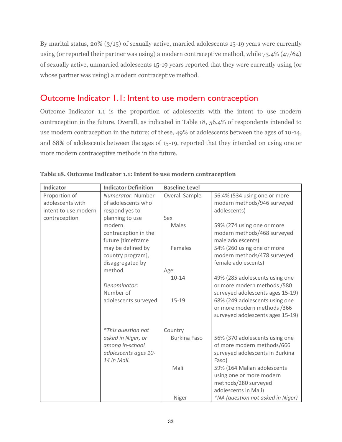By marital status,  $20\%$  ( $3/15$ ) of sexually active, married adolescents 15-19 years were currently using (or reported their partner was using) a modern contraceptive method, while 73.4% (47/64) of sexually active, unmarried adolescents 15-19 years reported that they were currently using (or whose partner was using) a modern contraceptive method.

### <span id="page-32-0"></span>Outcome Indicator 1.1: Intent to use modern contraception

Outcome Indicator 1.1 is the proportion of adolescents with the intent to use modern contraception in the future. Overall, as indicated in Table 18, 56.4% of respondents intended to use modern contraception in the future; of these, 49% of adolescents between the ages of 10-14, and 68% of adolescents between the ages of 15-19, reported that they intended on using one or more modern contraceptive methods in the future.

| Indicator                         | <b>Indicator Definition</b>             | <b>Baseline Level</b> |                                                             |
|-----------------------------------|-----------------------------------------|-----------------------|-------------------------------------------------------------|
| Proportion of<br>adolescents with | Numerator: Number<br>of adolescents who | <b>Overall Sample</b> | 56.4% (534 using one or more<br>modern methods/946 surveyed |
| intent to use modern              | respond yes to                          |                       | adolescents)                                                |
| contraception                     | planning to use                         | Sex                   |                                                             |
|                                   | modern                                  | Males                 | 59% (274 using one or more                                  |
|                                   | contraception in the                    |                       | modern methods/468 surveyed                                 |
|                                   | future [timeframe                       |                       | male adolescents)                                           |
|                                   | may be defined by                       | Females               | 54% (260 using one or more                                  |
|                                   | country program],                       |                       | modern methods/478 surveyed                                 |
|                                   | disaggregated by                        |                       | female adolescents)                                         |
|                                   | method                                  | Age                   |                                                             |
|                                   |                                         | $10 - 14$             | 49% (285 adolescents using one                              |
|                                   | Denominator:                            |                       | or more modern methods /580                                 |
|                                   | Number of                               |                       | surveyed adolescents ages 15-19)                            |
|                                   | adolescents surveyed                    | $15 - 19$             | 68% (249 adolescents using one                              |
|                                   |                                         |                       | or more modern methods /366                                 |
|                                   |                                         |                       | surveyed adolescents ages 15-19)                            |
|                                   | <i>*This question not</i>               | Country               |                                                             |
|                                   | asked in Niger, or                      | <b>Burkina Faso</b>   | 56% (370 adolescents using one                              |
|                                   | among in-school                         |                       | of more modern methods/666                                  |
|                                   | adolescents ages 10-                    |                       | surveyed adolescents in Burkina                             |
|                                   | 14 in Mali.                             |                       | Faso)                                                       |
|                                   |                                         | Mali                  | 59% (164 Malian adolescents                                 |
|                                   |                                         |                       | using one or more modern                                    |
|                                   |                                         |                       | methods/280 surveyed                                        |
|                                   |                                         |                       | adolescents in Mali)                                        |
|                                   |                                         | Niger                 | *NA (question not asked in Niger)                           |

<span id="page-32-1"></span>**Table 18. Outcome Indicator 1.1: Intent to use modern contraception**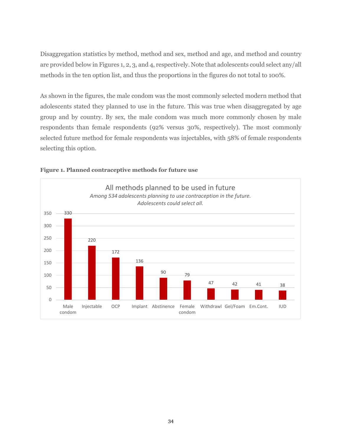Disaggregation statistics by method, method and sex, method and age, and method and country are provided below in Figures 1, 2, 3, and 4, respectively. Note that adolescents could select any/all methods in the ten option list, and thus the proportions in the figures do not total to 100%.

As shown in the figures, the male condom was the most commonly selected modern method that adolescents stated they planned to use in the future. This was true when disaggregated by age group and by country. By sex, the male condom was much more commonly chosen by male respondents than female respondents (92% versus 30%, respectively). The most commonly selected future method for female respondents was injectables, with 58% of female respondents selecting this option.



#### <span id="page-33-0"></span>**Figure 1. Planned contraceptive methods for future use**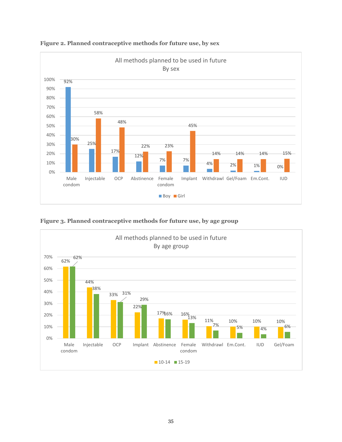

<span id="page-34-0"></span>**Figure 2. Planned contraceptive methods for future use, by sex**



<span id="page-34-1"></span>**Figure 3. Planned contraceptive methods for future use, by age group**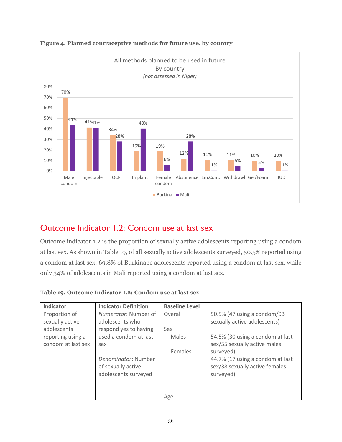

#### <span id="page-35-2"></span>**Figure 4. Planned contraceptive methods for future use, by country**

# <span id="page-35-0"></span>Outcome Indicator 1.2: Condom use at last sex

Outcome indicator 1.2 is the proportion of sexually active adolescents reporting using a condom at last sex. As shown in Table 19, of all sexually active adolescents surveyed, 50.5% reported using a condom at last sex. 69.8% of Burkinabe adolescents reported using a condom at last sex, while only 34% of adolescents in Mali reported using a condom at last sex.

| Indicator                               | <b>Indicator Definition</b>                                       | <b>Baseline Level</b> |                                                                                              |
|-----------------------------------------|-------------------------------------------------------------------|-----------------------|----------------------------------------------------------------------------------------------|
| Proportion of<br>sexually active        | Numerator: Number of<br>adolescents who                           | Overall               | 50.5% (47 using a condom/93<br>sexually active adolescents)                                  |
| adolescents                             | respond yes to having                                             | Sex                   |                                                                                              |
| reporting using a<br>condom at last sex | used a condom at last<br>sex                                      | Males                 | 54.5% (30 using a condom at last<br>sex/55 sexually active males                             |
|                                         | Denominator: Number<br>of sexually active<br>adolescents surveyed | Females               | surveyed)<br>44.7% (17 using a condom at last<br>sex/38 sexually active females<br>surveyed) |
|                                         |                                                                   | Age                   |                                                                                              |

<span id="page-35-1"></span>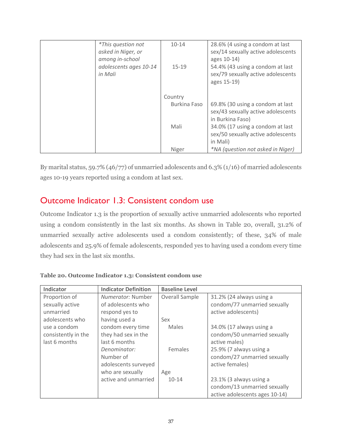| <i>*This question not</i><br>asked in Niger, or | $10 - 14$           | 28.6% (4 using a condom at last<br>sex/14 sexually active adolescents                      |
|-------------------------------------------------|---------------------|--------------------------------------------------------------------------------------------|
| among in-school                                 |                     | ages 10-14)                                                                                |
| adolescents ages 10-14<br>in Mali               | $15 - 19$           | 54.4% (43 using a condom at last                                                           |
|                                                 |                     | sex/79 sexually active adolescents<br>ages 15-19)                                          |
|                                                 | Country             |                                                                                            |
|                                                 | <b>Burkina Faso</b> | 69.8% (30 using a condom at last<br>sex/43 sexually active adolescents<br>in Burkina Faso) |
|                                                 | Mali                | 34.0% (17 using a condom at last<br>sex/50 sexually active adolescents<br>in Mali)         |
|                                                 | Niger               | <i>*NA (question not asked in Niger)</i>                                                   |

By marital status, 59.7% (46/77) of unmarried adolescents and 6.3% (1/16) of married adolescents ages 10-19 years reported using a condom at last sex.

#### Outcome Indicator 1.3: Consistent condom use

Outcome Indicator 1.3 is the proportion of sexually active unmarried adolescents who reported using a condom consistently in the last six months. As shown in Table 20, overall, 31.2% of unmarried sexually active adolescents used a condom consistently; of these, 34% of male adolescents and 25.9% of female adolescents, responded yes to having used a condom every time they had sex in the last six months.

| Indicator           | <b>Indicator Definition</b> | <b>Baseline Level</b> |                                |
|---------------------|-----------------------------|-----------------------|--------------------------------|
| Proportion of       | <i>Numerator:</i> Number    | Overall Sample        | 31.2% (24 always using a       |
| sexually active     | of adolescents who          |                       | condom/77 unmarried sexually   |
| unmarried           | respond yes to              |                       | active adolescents)            |
| adolescents who     | having used a               | Sex                   |                                |
| use a condom        | condom every time           | Males                 | 34.0% (17 always using a       |
| consistently in the | they had sex in the         |                       | condom/50 unmarried sexually   |
| last 6 months       | last 6 months               |                       | active males)                  |
|                     | Denominator:                | Females               | 25.9% (7 always using a        |
|                     | Number of                   |                       | condom/27 unmarried sexually   |
|                     | adolescents surveyed        |                       | active females)                |
|                     | who are sexually            | Age                   |                                |
|                     | active and unmarried        | $10 - 14$             | 23.1% (3 always using a        |
|                     |                             |                       | condom/13 unmarried sexually   |
|                     |                             |                       | active adolescents ages 10-14) |

**Table 20. Outcome Indicator 1.3: Consistent condom use**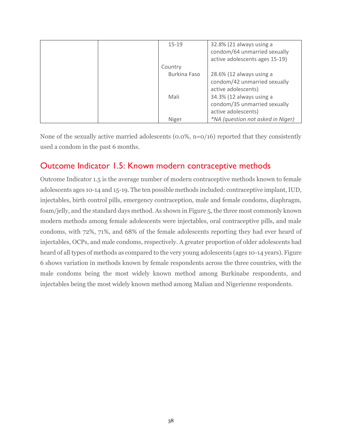| $15 - 19$    | 32.8% (21 always using a          |
|--------------|-----------------------------------|
|              | condom/64 unmarried sexually      |
|              | active adolescents ages 15-19)    |
| Country      |                                   |
| Burkina Faso | 28.6% (12 always using a          |
|              | condom/42 unmarried sexually      |
|              | active adolescents)               |
| Mali         | 34.3% (12 always using a          |
|              | condom/35 unmarried sexually      |
|              | active adolescents)               |
| Niger        | *NA (question not asked in Niger) |

None of the sexually active married adolescents (0.0%, n=0/16) reported that they consistently used a condom in the past 6 months.

#### Outcome Indicator 1.5: Known modern contraceptive methods

Outcome Indicator 1.5 is the average number of modern contraceptive methods known to female adolescents ages 10-14 and 15-19. The ten possible methods included: contraceptive implant, IUD, injectables, birth control pills, emergency contraception, male and female condoms, diaphragm, foam/jelly, and the standard days method. As shown in Figure 5, the three most commonly known modern methods among female adolescents were injectables, oral contraceptive pills, and male condoms, with 72%, 71%, and 68% of the female adolescents reporting they had ever heard of injectables, OCPs, and male condoms, respectively. A greater proportion of older adolescents had heard of all types of methods as compared to the very young adolescents (ages 10-14 years). Figure 6 shows variation in methods known by female respondents across the three countries, with the male condoms being the most widely known method among Burkinabe respondents, and injectables being the most widely known method among Malian and Nigerienne respondents.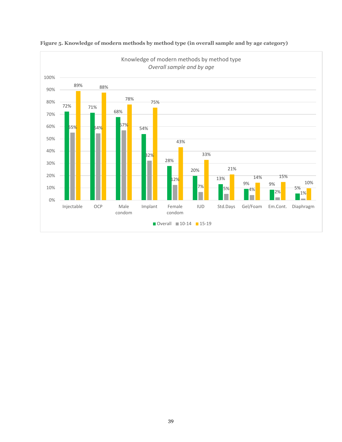

#### **Figure 5. Knowledge of modern methods by method type (in overall sample and by age category)**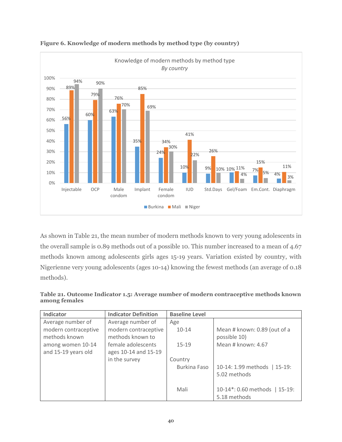



As shown in Table 21, the mean number of modern methods known to very young adolescents in the overall sample is 0.89 methods out of a possible 10. This number increased to a mean of 4.67 methods known among adolescents girls ages 15-19 years. Variation existed by country, with Nigerienne very young adolescents (ages 10-14) knowing the fewest methods (an average of 0.18 methods).

| Indicator            | <b>Indicator Definition</b> | <b>Baseline Level</b> |                               |
|----------------------|-----------------------------|-----------------------|-------------------------------|
| Average number of    | Average number of           | Age                   |                               |
| modern contraceptive | modern contraceptive        | $10 - 14$             | Mean # known: 0.89 (out of a  |
| methods known        | methods known to            |                       | possible 10)                  |
| among women 10-14    | female adolescents          | $15-19$               | Mean # known: 4.67            |
| and 15-19 years old  | ages 10-14 and 15-19        |                       |                               |
|                      | in the survey               | Country               |                               |
|                      |                             | Burkina Faso          | 10-14: 1.99 methods   15-19:  |
|                      |                             |                       | 5.02 methods                  |
|                      |                             |                       |                               |
|                      |                             | Mali                  | 10-14*: 0.60 methods   15-19: |
|                      |                             |                       | 5.18 methods                  |

**Table 21. Outcome Indicator 1.5: Average number of modern contraceptive methods known among females**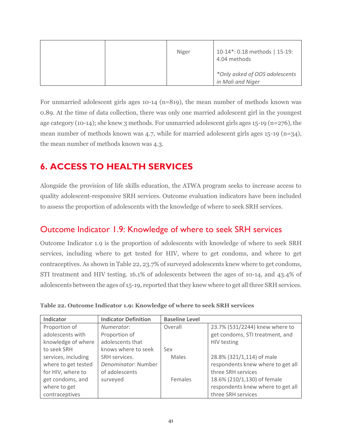|  | Niger | 10-14*: 0.18 methods   15-19:<br>4.04 methods       |
|--|-------|-----------------------------------------------------|
|  |       | *Only asked of OOS adolescents<br>in Mali and Niger |

For unmarried adolescent girls ages 10-14 (n=819), the mean number of methods known was 0.89. At the time of data collection, there was only one married adolescent girl in the youngest age category (10-14); she knew 3 methods. For unmarried adolescent girls ages 15-19 (n=276), the mean number of methods known was 4.7, while for married adolescent girls ages 15-19 (n=34), the mean number of methods known was 4.3.

# **6. ACCESS TO HEALTH SERVICES**

Alongside the provision of life skills education, the ATWA program seeks to increase access to quality adolescent-responsive SRH services. Outcome evaluation indicators have been included to assess the proportion of adolescents with the knowledge of where to seek SRH services.

#### Outcome Indicator 1.9: Knowledge of where to seek SRH services

Outcome Indicator 1.9 is the proportion of adolescents with knowledge of where to seek SRH services, including where to get tested for HIV, where to get condoms, and where to get contraceptives. As shown in Table 22, 23.7% of surveyed adolescents knew where to get condoms, STI treatment and HIV testing. 16.1% of adolescents between the ages of 10-14, and 43.4% of adolescents between the ages of 15-19, reported that they knew where to get all three SRH services.

| Indicator           | <b>Indicator Definition</b> | <b>Baseline Level</b> |                                   |
|---------------------|-----------------------------|-----------------------|-----------------------------------|
| Proportion of       | Numerator:                  | Overall               | 23.7% (531/2244) knew where to    |
| adolescents with    | Proportion of               |                       | get condoms, STI treatment, and   |
| knowledge of where  | adolescents that            |                       | HIV testing                       |
| to seek SRH         | knows where to seek         | Sex                   |                                   |
| services, including | SRH services.               | <b>Males</b>          | 28.8% (321/1,114) of male         |
| where to get tested | Denominator: Number         |                       | respondents knew where to get all |
| for HIV, where to   | of adolescents              |                       | three SRH services                |
| get condoms, and    | surveyed                    | Females               | 18.6% (210/1,130) of female       |
| where to get        |                             |                       | respondents knew where to get all |
| contraceptives      |                             |                       | three SRH services                |

**Table 22. Outcome Indicator 1.9: Knowledge of where to seek SRH services**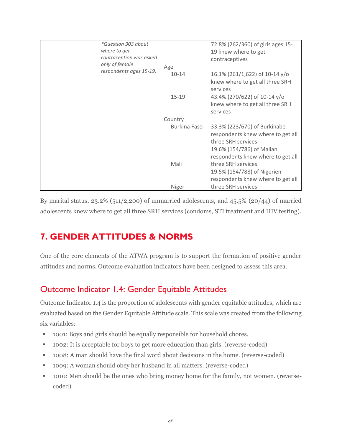| *Question 903 about     |              | 72.8% (262/360) of girls ages 15- |
|-------------------------|--------------|-----------------------------------|
| where to get            |              | 19 knew where to get              |
| contraception was asked |              | contraceptives                    |
| only of female          | Age          |                                   |
| respondents ages 15-19. | $10 - 14$    | 16.1% (261/1,622) of 10-14 $y$ /o |
|                         |              | knew where to get all three SRH   |
|                         |              | services                          |
|                         | $15-19$      | 43.4% (270/622) of 10-14 y/o      |
|                         |              | knew where to get all three SRH   |
|                         |              | services                          |
|                         | Country      |                                   |
|                         | Burkina Faso | 33.3% (223/670) of Burkinabe      |
|                         |              | respondents knew where to get all |
|                         |              | three SRH services                |
|                         |              | 19.6% (154/786) of Malian         |
|                         |              | respondents knew where to get all |
|                         | Mali         | three SRH services                |
|                         |              | 19.5% (154/788) of Nigerien       |
|                         |              | respondents knew where to get all |
|                         | Niger        | three SRH services                |

By marital status,  $23.2\%$  (511/2,200) of unmarried adolescents, and  $45.5\%$  (20/44) of married adolescents knew where to get all three SRH services (condoms, STI treatment and HIV testing).

# **7. GENDER ATTITUDES & NORMS**

One of the core elements of the ATWA program is to support the formation of positive gender attitudes and norms. Outcome evaluation indicators have been designed to assess this area.

### Outcome Indicator 1.4: Gender Equitable Attitudes

Outcome Indicator 1.4 is the proportion of adolescents with gender equitable attitudes, which are evaluated based on the Gender Equitable Attitude scale. This scale was created from the following six variables:

- 1001: Boys and girls should be equally responsible for household chores.
- 1002: It is acceptable for boys to get more education than girls. (reverse-coded)
- 1008: A man should have the final word about decisions in the home. (reverse-coded)
- 1009: A woman should obey her husband in all matters. (reverse-coded)
- 1010: Men should be the ones who bring money home for the family, not women. (reversecoded)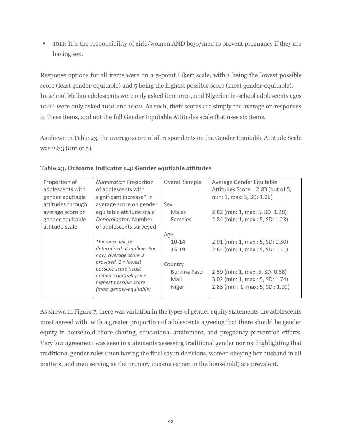▪ 1011: It is the responsibility of girls/women AND boys/men to prevent pregnancy if they are having sex.

Response options for all items were on a 5-point Likert scale, with 1 being the lowest possible score (least gender-equitable) and 5 being the highest possible score (most gender-equitable). In-school Malian adolescents were only asked item 1001, and Nigerien in-school adolescents ages 10-14 were only asked 1001 and 1002. As such, their scores are simply the average on responses to these items, and not the full Gender Equitable Attitudes scale that uses six items.

As shown in Table 23, the average score of all respondents on the Gender Equitable Attitude Scale was 2.83 (0ut of 5).

| Proportion of     | Numerator: Proportion                             | Overall Sample | Average Gender Equitable          |
|-------------------|---------------------------------------------------|----------------|-----------------------------------|
| adolescents with  | of adolescents with                               |                | Attitudes Score = 2.83 (out of 5, |
| gender equitable  | significant increase* in                          |                | min: 1, max: 5, SD: 1.26)         |
| attitudes through | average score on gender                           | Sex            |                                   |
| average score on  | equitable attitude scale                          | <b>Males</b>   | 2.82 (min: 1, max: 5, SD: 1.28)   |
| gender equitable  | Denominator: Number                               | Females        | 2.84 (min: 1, max: 5, SD: 1.23)   |
| attitude scale    | of adolescents surveyed                           |                |                                   |
|                   |                                                   | Age            |                                   |
|                   | *Increase will be                                 | $10 - 14$      | 2.91 (min: 1, max: 5, SD: 1.30)   |
|                   | determined at endline. For                        | $15 - 19$      | 2.64 (min: 1, max: 5, SD: 1.11)   |
|                   | now, average score is                             |                |                                   |
|                   | provided. $1 =$ lowest                            | Country        |                                   |
|                   | possible score (least<br>gender-equitable); $5 =$ | Burkina Faso   | 2.59 (min: 1, max: 5, SD: 0.68)   |
|                   | highest possible score                            | Mali           | 3.02 (min: 1, max: 5, SD: 1.74)   |
|                   | (most gender-equitable)                           | Niger          | 2.85 (min: 1, max: 5, SD: 1.00)   |
|                   |                                                   |                |                                   |

#### **Table 23. Outcome Indicator 1.4: Gender equitable attitudes**

As shown in Figure 7, there was variation in the types of gender equity statements the adolescents most agreed with, with a greater proportion of adolescents agreeing that there should be gender equity in household chore sharing, educational attainment, and pregnancy prevention efforts. Very low agreement was seen in statements assessing traditional gender norms, highlighting that traditional gender roles (men having the final say in decisions, women obeying her husband in all matters, and men serving as the primary income earner in the household) are prevalent.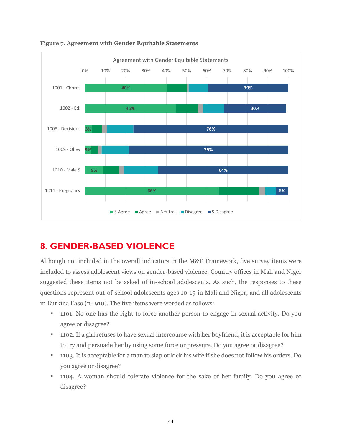

**Figure 7. Agreement with Gender Equitable Statements**

# **8. GENDER-BASED VIOLENCE**

Although not included in the overall indicators in the M&E Framework, five survey items were included to assess adolescent views on gender-based violence. Country offices in Mali and Niger suggested these items not be asked of in-school adolescents. As such, the responses to these questions represent out-of-school adolescents ages 10-19 in Mali and Niger, and all adolescents in Burkina Faso (n=910). The five items were worded as follows:

- 1101. No one has the right to force another person to engage in sexual activity. Do you agree or disagree?
- 1102. If a girl refuses to have sexual intercourse with her boyfriend, it is acceptable for him to try and persuade her by using some force or pressure. Do you agree or disagree?
- 1103. It is acceptable for a man to slap or kick his wife if she does not follow his orders. Do you agree or disagree?
- 1104. A woman should tolerate violence for the sake of her family. Do you agree or disagree?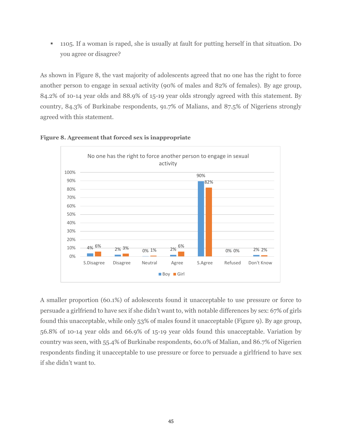▪ 1105. If a woman is raped, she is usually at fault for putting herself in that situation. Do you agree or disagree?

As shown in Figure 8, the vast majority of adolescents agreed that no one has the right to force another person to engage in sexual activity (90% of males and 82% of females). By age group, 84.2% of 10-14 year olds and 88.9% of 15-19 year olds strongly agreed with this statement. By country, 84.3% of Burkinabe respondents, 91.7% of Malians, and 87.5% of Nigeriens strongly agreed with this statement.





A smaller proportion (60.1%) of adolescents found it unacceptable to use pressure or force to persuade a girlfriend to have sex if she didn't want to, with notable differences by sex: 67% of girls found this unacceptable, while only 53% of males found it unacceptable (Figure 9). By age group, 56.8% of 10-14 year olds and 66.9% of 15-19 year olds found this unacceptable. Variation by country was seen, with 55.4% of Burkinabe respondents, 60.0% of Malian, and 86.7% of Nigerien respondents finding it unacceptable to use pressure or force to persuade a girlfriend to have sex if she didn't want to.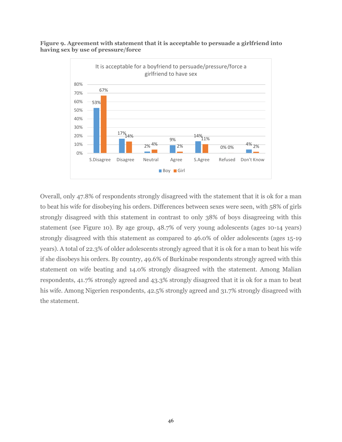**Figure 9. Agreement with statement that it is acceptable to persuade a girlfriend into having sex by use of pressure/force**



Overall, only 47.8% of respondents strongly disagreed with the statement that it is ok for a man to beat his wife for disobeying his orders. Differences between sexes were seen, with 58% of girls strongly disagreed with this statement in contrast to only 38% of boys disagreeing with this statement (see Figure 10). By age group, 48.7% of very young adolescents (ages 10-14 years) strongly disagreed with this statement as compared to 46.0% of older adolescents (ages 15-19 years). A total of 22.3% of older adolescents strongly agreed that it is ok for a man to beat his wife if she disobeys his orders. By country, 49.6% of Burkinabe respondents strongly agreed with this statement on wife beating and 14.0% strongly disagreed with the statement. Among Malian respondents, 41.7% strongly agreed and 43.3% strongly disagreed that it is ok for a man to beat his wife. Among Nigerien respondents, 42.5% strongly agreed and 31.7% strongly disagreed with the statement.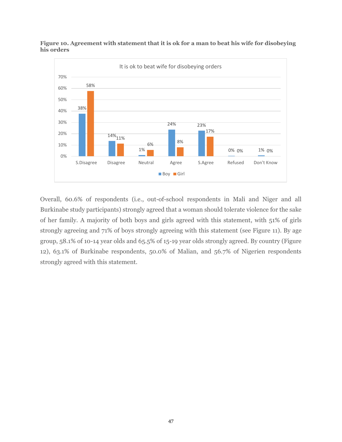

**Figure 10. Agreement with statement that it is ok for a man to beat his wife for disobeying his orders**

Overall, 60.6% of respondents (i.e., out-of-school respondents in Mali and Niger and all Burkinabe study participants) strongly agreed that a woman should tolerate violence for the sake of her family. A majority of both boys and girls agreed with this statement, with 51% of girls strongly agreeing and 71% of boys strongly agreeing with this statement (see Figure 11). By age group, 58.1% of 10-14 year olds and 65.5% of 15-19 year olds strongly agreed. By country (Figure 12), 63.1% of Burkinabe respondents, 50.0% of Malian, and 56.7% of Nigerien respondents strongly agreed with this statement.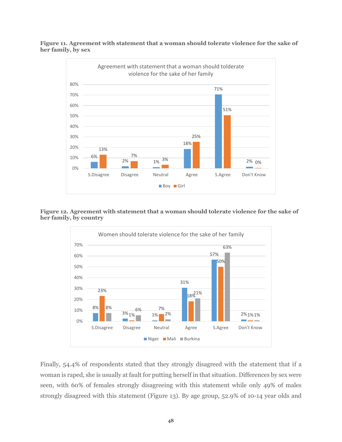**Figure 11. Agreement with statement that a woman should tolerate violence for the sake of her family, by sex**



**Figure 12. Agreement with statement that a woman should tolerate violence for the sake of her family, by country**



Finally, 54.4% of respondents stated that they strongly disagreed with the statement that if a woman is raped, she is usually at fault for putting herself in that situation. Differences by sex were seen, with 60% of females strongly disagreeing with this statement while only 49% of males strongly disagreed with this statement (Figure 13). By age group, 52.9% of 10-14 year olds and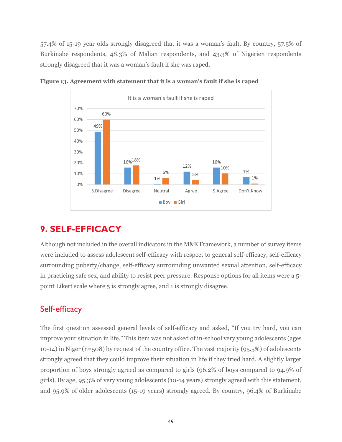57.4% of 15-19 year olds strongly disagreed that it was a woman's fault. By country, 57.5% of Burkinabe respondents, 48.3% of Malian respondents, and 43.3% of Nigerien respondents strongly disagreed that it was a woman's fault if she was raped.



**Figure 13. Agreement with statement that it is a woman's fault if she is raped**

#### **9. SELF-EFFICACY**

Although not included in the overall indicators in the M&E Framework, a number of survey items were included to assess adolescent self-efficacy with respect to general self-efficacy, self-efficacy surrounding puberty/change, self-efficacy surrounding unwanted sexual attention, self-efficacy in practicing safe sex, and ability to resist peer pressure. Response options for all items were a 5 point Likert scale where 5 is strongly agree, and 1 is strongly disagree.

#### Self-efficacy

The first question assessed general levels of self-efficacy and asked, "If you try hard, you can improve your situation in life." This item was not asked of in-school very young adolescents (ages 10-14) in Niger (n=508) by request of the country office. The vast majority (95.5%) of adolescents strongly agreed that they could improve their situation in life if they tried hard. A slightly larger proportion of boys strongly agreed as compared to girls (96.2% of boys compared to 94.9% of girls). By age, 95.3% of very young adolescents (10-14 years) strongly agreed with this statement, and 95.9% of older adolescents (15-19 years) strongly agreed. By country, 96.4% of Burkinabe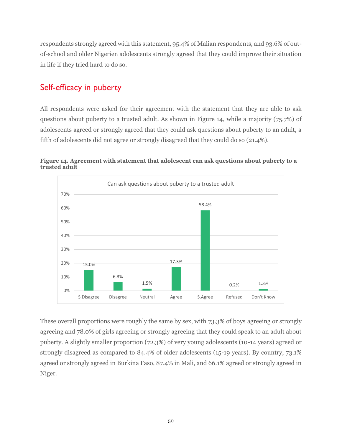respondents strongly agreed with this statement, 95.4% of Malian respondents, and 93.6% of outof-school and older Nigerien adolescents strongly agreed that they could improve their situation in life if they tried hard to do so.

#### Self-efficacy in puberty

All respondents were asked for their agreement with the statement that they are able to ask questions about puberty to a trusted adult. As shown in Figure 14, while a majority (75.7%) of adolescents agreed or strongly agreed that they could ask questions about puberty to an adult, a fifth of adolescents did not agree or strongly disagreed that they could do so (21.4%).





These overall proportions were roughly the same by sex, with 73.3% of boys agreeing or strongly agreeing and 78.0% of girls agreeing or strongly agreeing that they could speak to an adult about puberty. A slightly smaller proportion (72.3%) of very young adolescents (10-14 years) agreed or strongly disagreed as compared to 84.4% of older adolescents (15-19 years). By country, 73.1% agreed or strongly agreed in Burkina Faso, 87.4% in Mali, and 66.1% agreed or strongly agreed in Niger.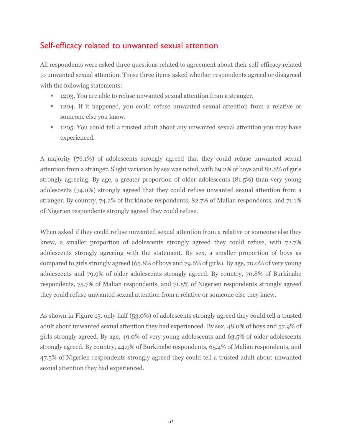#### Self-efficacy related to unwanted sexual attention

All respondents were asked three questions related to agreement about their self-efficacy related to unwanted sexual attention. These three items asked whether respondents agreed or disagreed with the following statements:

- 1203. You are able to refuse unwanted sexual attention from a stranger.
- 1204. If it happened, you could refuse unwanted sexual attention from a relative or someone else you know.
- 1205. You could tell a trusted adult about any unwanted sexual attention you may have experienced.

A majority (76.1%) of adolescents strongly agreed that they could refuse unwanted sexual attention from a stranger. Slight variation by sex was noted, with 69.2% of boys and 82.8% of girls strongly agreeing. By age, a greater proportion of older adolescents (81.5%) than very young adolescents (74.0%) strongly agreed that they could refuse unwanted sexual attention from a stranger. By country, 74.2% of Burkinabe respondents, 82.7% of Malian respondents, and 71.1% of Nigerien respondents strongly agreed they could refuse.

When asked if they could refuse unwanted sexual attention from a relative or someone else they knew, a smaller proportion of adolescents strongly agreed they could refuse, with 72.7% adolescents strongly agreeing with the statement. By sex, a smaller proportion of boys as compared to girls strongly agreed (65.8% of boys and 79.6% of girls). By age, 70.0% of very young adolescents and 79.9% of older adolescents strongly agreed. By country, 70.8% of Burkinabe respondents, 75.7% of Malian respondents, and 71.5% of Nigerien respondents strongly agreed they could refuse unwanted sexual attention from a relative or someone else they knew.

As shown in Figure 15, only half (53.0%) of adolescents strongly agreed they could tell a trusted adult about unwanted sexual attention they had experienced. By sex, 48.0% of boys and 57.9% of girls strongly agreed. By age, 49.0% of very young adolescents and 63.5% of older adolescents strongly agreed. By country, 44.9% of Burkinabe respondents, 65.4% of Malian respondents, and 47.5% of Nigerien respondents strongly agreed they could tell a trusted adult about unwanted sexual attention they had experienced.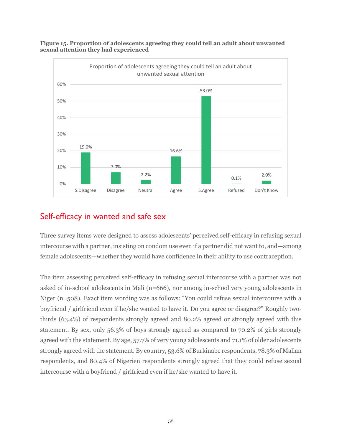

**Figure 15. Proportion of adolescents agreeing they could tell an adult about unwanted sexual attention they had experienced**

#### Self-efficacy in wanted and safe sex

Three survey items were designed to assess adolescents' perceived self-efficacy in refusing sexual intercourse with a partner, insisting on condom use even if a partner did not want to, and—among female adolescents—whether they would have confidence in their ability to use contraception.

The item assessing perceived self-efficacy in refusing sexual intercourse with a partner was not asked of in-school adolescents in Mali (n=666), nor among in-school very young adolescents in Niger (n=508). Exact item wording was as follows: "You could refuse sexual intercourse with a boyfriend / girlfriend even if he/she wanted to have it. Do you agree or disagree?" Roughly twothirds (63.4%) of respondents strongly agreed and 80.2% agreed or strongly agreed with this statement. By sex, only 56.3% of boys strongly agreed as compared to 70.2% of girls strongly agreed with the statement. By age, 57.7% of very young adolescents and 71.1% of older adolescents strongly agreed with the statement. By country, 53.6% of Burkinabe respondents, 78.3% of Malian respondents, and 80.4% of Nigerien respondents strongly agreed that they could refuse sexual intercourse with a boyfriend / girlfriend even if he/she wanted to have it.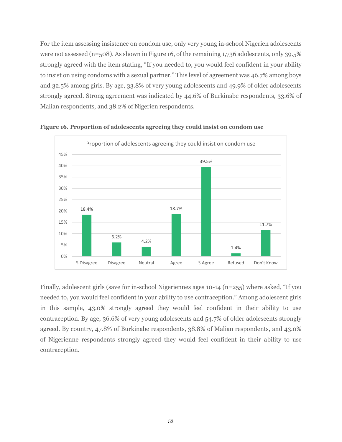For the item assessing insistence on condom use, only very young in-school Nigerien adolescents were not assessed (n=508). As shown in Figure 16, of the remaining 1,736 adolescents, only 39.5% strongly agreed with the item stating, "If you needed to, you would feel confident in your ability to insist on using condoms with a sexual partner." This level of agreement was 46.7% among boys and 32.5% among girls. By age, 33.8% of very young adolescents and 49.9% of older adolescents strongly agreed. Strong agreement was indicated by 44.6% of Burkinabe respondents, 33.6% of Malian respondents, and 38.2% of Nigerien respondents.



**Figure 16. Proportion of adolescents agreeing they could insist on condom use**

Finally, adolescent girls (save for in-school Nigeriennes ages 10-14 (n=255) where asked, "If you needed to, you would feel confident in your ability to use contraception." Among adolescent girls in this sample, 43.0% strongly agreed they would feel confident in their ability to use contraception. By age, 36.6% of very young adolescents and 54.7% of older adolescents strongly agreed. By country, 47.8% of Burkinabe respondents, 38.8% of Malian respondents, and 43.0% of Nigerienne respondents strongly agreed they would feel confident in their ability to use contraception.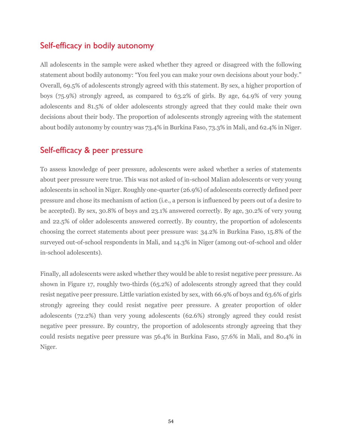#### Self-efficacy in bodily autonomy

All adolescents in the sample were asked whether they agreed or disagreed with the following statement about bodily autonomy: "You feel you can make your own decisions about your body." Overall, 69.5% of adolescents strongly agreed with this statement. By sex, a higher proportion of boys (75.9%) strongly agreed, as compared to 63.2% of girls. By age, 64.9% of very young adolescents and 81.5% of older adolescents strongly agreed that they could make their own decisions about their body. The proportion of adolescents strongly agreeing with the statement about bodily autonomy by country was 73.4% in Burkina Faso, 73.3% in Mali, and 62.4% in Niger.

#### Self-efficacy & peer pressure

To assess knowledge of peer pressure, adolescents were asked whether a series of statements about peer pressure were true. This was not asked of in-school Malian adolescents or very young adolescents in school in Niger. Roughly one-quarter (26.9%) of adolescents correctly defined peer pressure and chose its mechanism of action (i.e., a person is influenced by peers out of a desire to be accepted). By sex, 30.8% of boys and 23.1% answered correctly. By age, 30.2% of very young and 22.5% of older adolescents answered correctly. By country, the proportion of adolescents choosing the correct statements about peer pressure was: 34.2% in Burkina Faso, 15.8% of the surveyed out-of-school respondents in Mali, and 14.3% in Niger (among out-of-school and older in-school adolescents).

Finally, all adolescents were asked whether they would be able to resist negative peer pressure. As shown in Figure 17, roughly two-thirds (65.2%) of adolescents strongly agreed that they could resist negative peer pressure. Little variation existed by sex, with 66.9% of boys and 63.6% of girls strongly agreeing they could resist negative peer pressure. A greater proportion of older adolescents (72.2%) than very young adolescents (62.6%) strongly agreed they could resist negative peer pressure. By country, the proportion of adolescents strongly agreeing that they could resists negative peer pressure was 56.4% in Burkina Faso, 57.6% in Mali, and 80.4% in Niger.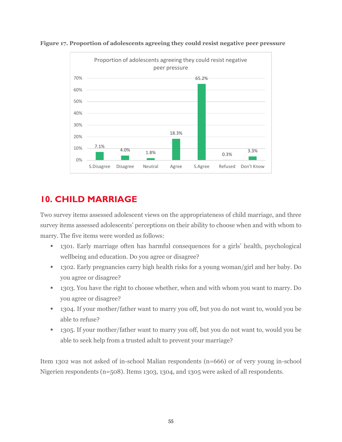



## **10. CHILD MARRIAGE**

Two survey items assessed adolescent views on the appropriateness of child marriage, and three survey items assessed adolescents' perceptions on their ability to choose when and with whom to marry. The five items were worded as follows:

- 1301. Early marriage often has harmful consequences for a girls' health, psychological wellbeing and education. Do you agree or disagree?
- 1302. Early pregnancies carry high health risks for a young woman/girl and her baby. Do you agree or disagree?
- 1303. You have the right to choose whether, when and with whom you want to marry. Do you agree or disagree?
- 1304. If your mother/father want to marry you off, but you do not want to, would you be able to refuse?
- 1305. If your mother/father want to marry you off, but you do not want to, would you be able to seek help from a trusted adult to prevent your marriage?

Item 1302 was not asked of in-school Malian respondents (n=666) or of very young in-school Nigerien respondents (n=508). Items 1303, 1304, and 1305 were asked of all respondents.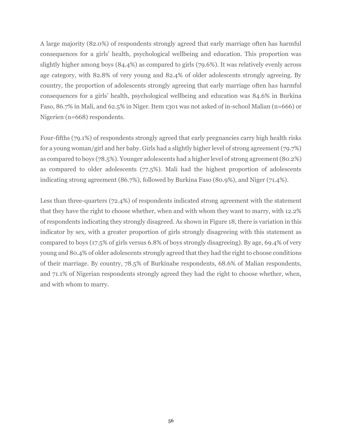A large majority (82.0%) of respondents strongly agreed that early marriage often has harmful consequences for a girls' health, psychological wellbeing and education. This proportion was slightly higher among boys (84.4%) as compared to girls (79.6%). It was relatively evenly across age category, with 82.8% of very young and 82.4% of older adolescents strongly agreeing. By country, the proportion of adolescents strongly agreeing that early marriage often has harmful consequences for a girls' health, psychological wellbeing and education was 84.6% in Burkina Faso, 86.7% in Mali, and 62.5% in Niger. Item 1301 was not asked of in-school Malian (n=666) or Nigerien (n=668) respondents.

Four-fifths (79.1%) of respondents strongly agreed that early pregnancies carry high health risks for a young woman/girl and her baby. Girls had a slightly higher level of strong agreement (79.7%) as compared to boys (78.5%). Younger adolescents had a higher level of strong agreement (80.2%) as compared to older adolescents (77.5%). Mali had the highest proportion of adolescents indicating strong agreement (86.7%), followed by Burkina Faso (80.9%), and Niger (71.4%).

Less than three-quarters (72.4%) of respondents indicated strong agreement with the statement that they have the right to choose whether, when and with whom they want to marry, with 12.2% of respondents indicating they strongly disagreed. As shown in Figure 18, there is variation in this indicator by sex, with a greater proportion of girls strongly disagreeing with this statement as compared to boys (17.5% of girls versus 6.8% of boys strongly disagreeing). By age, 69.4% of very young and 80.4% of older adolescents strongly agreed that they had the right to choose conditions of their marriage. By country, 78.5% of Burkinabe respondents, 68.6% of Malian respondents, and 71.1% of Nigerian respondents strongly agreed they had the right to choose whether, when, and with whom to marry.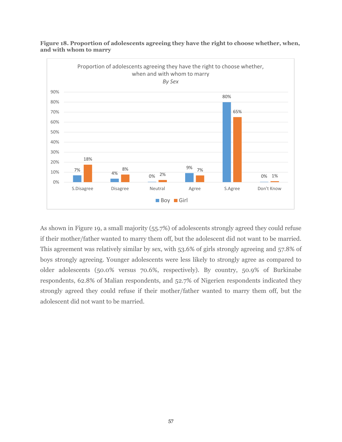

**Figure 18. Proportion of adolescents agreeing they have the right to choose whether, when, and with whom to marry**

As shown in Figure 19, a small majority (55.7%) of adolescents strongly agreed they could refuse if their mother/father wanted to marry them off, but the adolescent did not want to be married. This agreement was relatively similar by sex, with 53.6% of girls strongly agreeing and 57.8% of boys strongly agreeing. Younger adolescents were less likely to strongly agree as compared to older adolescents (50.0% versus 70.6%, respectively). By country, 50.9% of Burkinabe respondents, 62.8% of Malian respondents, and 52.7% of Nigerien respondents indicated they strongly agreed they could refuse if their mother/father wanted to marry them off, but the adolescent did not want to be married.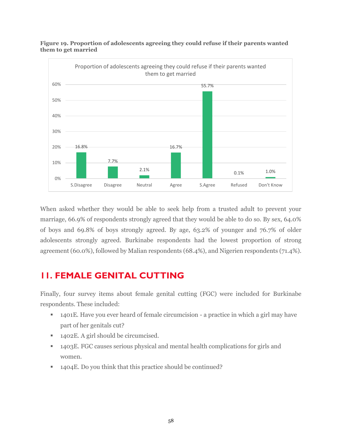

**Figure 19. Proportion of adolescents agreeing they could refuse if their parents wanted them to get married**

When asked whether they would be able to seek help from a trusted adult to prevent your marriage, 66.9% of respondents strongly agreed that they would be able to do so. By sex, 64.0% of boys and 69.8% of boys strongly agreed. By age, 63.2% of younger and 76.7% of older adolescents strongly agreed. Burkinabe respondents had the lowest proportion of strong agreement (60.0%), followed by Malian respondents (68.4%), and Nigerien respondents (71.4%).

#### **11. FEMALE GENITAL CUTTING**

Finally, four survey items about female genital cutting (FGC) were included for Burkinabe respondents. These included:

- 1401E. Have you ever heard of female circumcision a practice in which a girl may have part of her genitals cut?
- 1402E. A girl should be circumcised.
- 1403E. FGC causes serious physical and mental health complications for girls and women.
- 1404E. Do you think that this practice should be continued?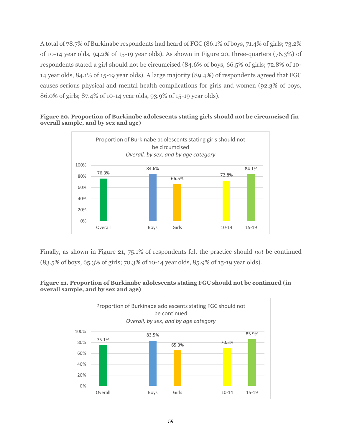A total of 78.7% of Burkinabe respondents had heard of FGC (86.1% of boys, 71.4% of girls; 73.2% of 10-14 year olds,  $94.2\%$  of 15-19 year olds). As shown in Figure 20, three-quarters (76.3%) of respondents stated a girl should not be circumcised (84.6% of boys, 66.5% of girls; 72.8% of 10- 14 year olds, 84.1% of 15-19 year olds). A large majority (89.4%) of respondents agreed that FGC causes serious physical and mental health complications for girls and women (92.3% of boys, 86.0% of girls; 87.4% of 10-14 year olds, 93.9% of 15-19 year olds).



**Figure 20. Proportion of Burkinabe adolescents stating girls should not be circumcised (in overall sample, and by sex and age)**

Finally, as shown in Figure 21, 75.1% of respondents felt the practice should *not* be continued (83.5% of boys, 65.3% of girls; 70.3% of 10-14 year olds, 85.9% of 15-19 year olds).



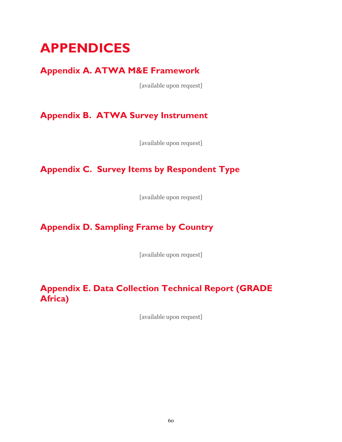# **APPENDICES**

## **Appendix A. ATWA M&E Framework**

[available upon request]

**Appendix B. ATWA Survey Instrument**

[available upon request]

# **Appendix C. Survey Items by Respondent Type**

[available upon request]

# **Appendix D. Sampling Frame by Country**

[available upon request]

### **Appendix E. Data Collection Technical Report (GRADE Africa)**

[available upon request]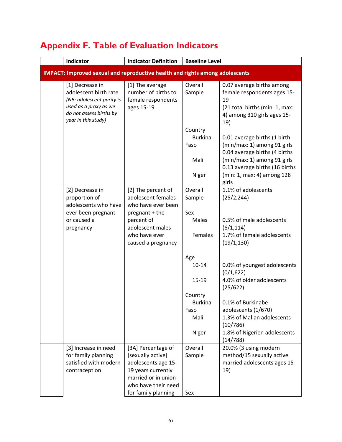| Indicator                                                                                                                                        | <b>Indicator Definition</b>                                                                                                                               | <b>Baseline Level</b>                              |                                                                                                                                                                                                      |
|--------------------------------------------------------------------------------------------------------------------------------------------------|-----------------------------------------------------------------------------------------------------------------------------------------------------------|----------------------------------------------------|------------------------------------------------------------------------------------------------------------------------------------------------------------------------------------------------------|
| <b>IMPACT: Improved sexual and reproductive health and rights among adolescents</b>                                                              |                                                                                                                                                           |                                                    |                                                                                                                                                                                                      |
| [1] Decrease in<br>adolescent birth rate<br>(NB: adolescent parity is<br>used as a proxy as we<br>do not assess births by<br>year in this study) | [1] The average<br>number of births to<br>female respondents<br>ages 15-19                                                                                | Overall<br>Sample                                  | 0.07 average births among<br>female respondents ages 15-<br>19<br>(21 total births (min: 1, max:<br>4) among 310 girls ages 15-<br>19)                                                               |
|                                                                                                                                                  |                                                                                                                                                           | Country<br><b>Burkina</b><br>Faso<br>Mali<br>Niger | 0.01 average births (1 birth<br>(min/max: 1) among 91 girls<br>0.04 average births (4 births<br>(min/max: 1) among 91 girls<br>0.13 average births (16 births<br>(min: 1, max: 4) among 128<br>girls |
| [2] Decrease in<br>proportion of<br>adolescents who have<br>ever been pregnant                                                                   | [2] The percent of<br>adolescent females<br>who have ever been<br>pregnant + the                                                                          | Overall<br>Sample<br>Sex                           | 1.1% of adolescents<br>(25/2, 244)                                                                                                                                                                   |
| or caused a<br>pregnancy                                                                                                                         | percent of<br>adolescent males<br>who have ever<br>caused a pregnancy                                                                                     | Males<br>Females                                   | 0.5% of male adolescents<br>(6/1, 114)<br>1.7% of female adolescents<br>(19/1, 130)                                                                                                                  |
|                                                                                                                                                  |                                                                                                                                                           | Age<br>$10 - 14$<br>$15 - 19$                      | 0.0% of youngest adolescents<br>(0/1,622)<br>4.0% of older adolescents<br>(25/622)                                                                                                                   |
|                                                                                                                                                  |                                                                                                                                                           | Country<br><b>Burkina</b><br>Faso<br>Mali<br>Niger | 0.1% of Burkinabe<br>adolescents (1/670)<br>1.3% of Malian adolescents<br>(10/786)<br>1.8% of Nigerien adolescents<br>(14/788)                                                                       |
| [3] Increase in need<br>for family planning<br>satisfied with modern<br>contraception                                                            | [3A] Percentage of<br>[sexually active]<br>adolescents age 15-<br>19 years currently<br>married or in union<br>who have their need<br>for family planning | Overall<br>Sample<br>Sex                           | 20.0% (3 using modern<br>method/15 sexually active<br>married adolescents ages 15-<br>19)                                                                                                            |

# **Appendix F. Table of Evaluation Indicators**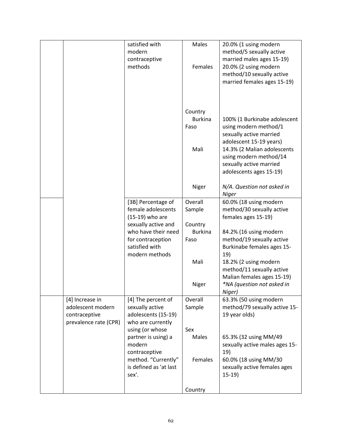|                                                                                | satisfied with<br>modern<br>contraceptive<br>methods                                                                        | Males<br>Females                          | 20.0% (1 using modern<br>method/5 sexually active<br>married males ages 15-19)<br>20.0% (2 using modern<br>method/10 sexually active<br>married females ages 15-19)                                                        |
|--------------------------------------------------------------------------------|-----------------------------------------------------------------------------------------------------------------------------|-------------------------------------------|----------------------------------------------------------------------------------------------------------------------------------------------------------------------------------------------------------------------------|
|                                                                                |                                                                                                                             | Country<br><b>Burkina</b><br>Faso<br>Mali | 100% (1 Burkinabe adolescent<br>using modern method/1<br>sexually active married<br>adolescent 15-19 years)<br>14.3% (2 Malian adolescents<br>using modern method/14<br>sexually active married<br>adolescents ages 15-19) |
|                                                                                |                                                                                                                             | Niger                                     | N/A. Question not asked in<br><b>Niger</b>                                                                                                                                                                                 |
|                                                                                | [3B] Percentage of<br>female adolescents<br>(15-19) who are                                                                 | Overall<br>Sample                         | 60.0% (18 using modern<br>method/30 sexually active<br>females ages 15-19)                                                                                                                                                 |
|                                                                                | sexually active and<br>who have their need<br>for contraception<br>satisfied with<br>modern methods                         | Country<br><b>Burkina</b><br>Faso         | 84.2% (16 using modern<br>method/19 sexually active<br>Burkinabe females ages 15-<br>19)                                                                                                                                   |
|                                                                                |                                                                                                                             | Mali<br>Niger                             | 18.2% (2 using modern<br>method/11 sexually active<br>Malian females ages 15-19)<br>*NA (question not asked in                                                                                                             |
| [4] Increase in<br>adolescent modern<br>contraceptive<br>prevalence rate (CPR) | [4] The percent of<br>sexually active<br>adolescents (15-19)<br>who are currently                                           | Overall<br>Sample                         | Niger)<br>63.3% (50 using modern<br>method/79 sexually active 15-<br>19 year olds)                                                                                                                                         |
|                                                                                | using (or whose<br>partner is using) a<br>modern<br>contraceptive<br>method. "Currently"<br>is defined as 'at last<br>sex'. | Sex<br>Males<br>Females                   | 65.3% (32 using MM/49<br>sexually active males ages 15-<br>19)<br>60.0% (18 using MM/30<br>sexually active females ages<br>$15-19$                                                                                         |
|                                                                                |                                                                                                                             | Country                                   |                                                                                                                                                                                                                            |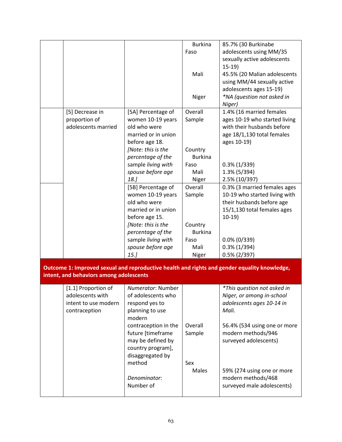|                                         |                      | <b>Burkina</b> | 85.7% (30 Burkinabe                                                                          |
|-----------------------------------------|----------------------|----------------|----------------------------------------------------------------------------------------------|
|                                         |                      | Faso           | adolescents using MM/35                                                                      |
|                                         |                      |                | sexually active adolescents                                                                  |
|                                         |                      |                | $15-19$                                                                                      |
|                                         |                      | Mali           | 45.5% (20 Malian adolescents                                                                 |
|                                         |                      |                | using MM/44 sexually active                                                                  |
|                                         |                      |                | adolescents ages 15-19)                                                                      |
|                                         |                      | Niger          | *NA (question not asked in                                                                   |
|                                         |                      |                | Niger)                                                                                       |
| [5] Decrease in                         | [5A] Percentage of   | Overall        | 1.4% (16 married females                                                                     |
| proportion of                           | women 10-19 years    | Sample         | ages 10-19 who started living                                                                |
| adolescents married                     | old who were         |                | with their husbands before                                                                   |
|                                         | married or in union  |                | age 18/1,130 total females                                                                   |
|                                         | before age 18.       |                | ages 10-19)                                                                                  |
|                                         | [Note: this is the   | Country        |                                                                                              |
|                                         | percentage of the    | <b>Burkina</b> |                                                                                              |
|                                         | sample living with   | Faso           | $0.3\%$ (1/339)                                                                              |
|                                         | spouse before age    | Mali           | $1.3\%$ (5/394)                                                                              |
|                                         | 18.                  | Niger          | 2.5% (10/397)                                                                                |
|                                         | [5B] Percentage of   | Overall        | 0.3% (3 married females ages                                                                 |
|                                         | women 10-19 years    | Sample         | 10-19 who started living with                                                                |
|                                         | old who were         |                | their husbands before age                                                                    |
|                                         | married or in union  |                | 15/1,130 total females ages                                                                  |
|                                         | before age 15.       |                | $10-19$                                                                                      |
|                                         | [Note: this is the   | Country        |                                                                                              |
|                                         | percentage of the    | <b>Burkina</b> |                                                                                              |
|                                         | sample living with   | Faso           | $0.0\%$ (0/339)                                                                              |
|                                         | spouse before age    | Mali           | $0.3\%$ (1/394)                                                                              |
|                                         | 15.                  | Niger          | $0.5\%$ (2/397)                                                                              |
| intent, and behaviors among adolescents |                      |                | Outcome 1: Improved sexual and reproductive health and rights and gender equality knowledge, |
| [1.1] Proportion of                     | Numerator: Number    |                | *This question not asked in                                                                  |
| adolescents with                        | of adolescents who   |                | Niger, or among in-school                                                                    |
| intent to use modern                    | respond yes to       |                | adolescents ages 10-14 in                                                                    |
| contraception                           | planning to use      |                | Mali.                                                                                        |
|                                         | modern               |                |                                                                                              |
|                                         | contraception in the | Overall        | 56.4% (534 using one or more                                                                 |
|                                         | future [timeframe    | Sample         | modern methods/946                                                                           |
|                                         | may be defined by    |                | surveyed adolescents)                                                                        |
|                                         | country program],    |                |                                                                                              |
|                                         | disaggregated by     |                |                                                                                              |
|                                         | method               | Sex            |                                                                                              |
|                                         |                      | Males          | 59% (274 using one or more                                                                   |
|                                         | Denominator:         |                | modern methods/468                                                                           |
|                                         |                      |                |                                                                                              |
|                                         | Number of            |                | surveyed male adolescents)                                                                   |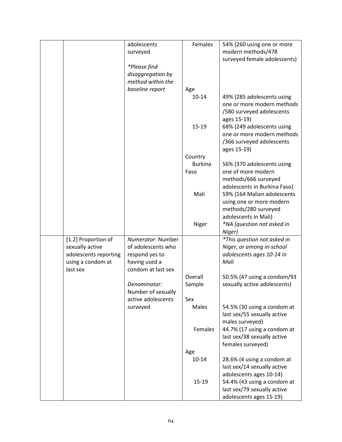|                                            | adolescents                             | Females        | 54% (260 using one or more                             |
|--------------------------------------------|-----------------------------------------|----------------|--------------------------------------------------------|
|                                            | surveyed                                |                | modern methods/478                                     |
|                                            |                                         |                | surveyed female adolescents)                           |
|                                            | *Please find                            |                |                                                        |
|                                            | disaggregation by                       |                |                                                        |
|                                            | method within the                       |                |                                                        |
|                                            | baseline report                         | Age            |                                                        |
|                                            |                                         | $10 - 14$      | 49% (285 adolescents using                             |
|                                            |                                         |                | one or more modern methods                             |
|                                            |                                         |                | /580 surveyed adolescents                              |
|                                            |                                         |                | ages 15-19)                                            |
|                                            |                                         | $15 - 19$      | 68% (249 adolescents using                             |
|                                            |                                         |                | one or more modern methods                             |
|                                            |                                         |                | /366 surveyed adolescents                              |
|                                            |                                         |                | ages 15-19)                                            |
|                                            |                                         | Country        |                                                        |
|                                            |                                         | <b>Burkina</b> | 56% (370 adolescents using                             |
|                                            |                                         | Faso           | one of more modern                                     |
|                                            |                                         |                | methods/666 surveyed                                   |
|                                            |                                         |                | adolescents in Burkina Faso)                           |
|                                            |                                         | Mali           | 59% (164 Malian adolescents                            |
|                                            |                                         |                | using one or more modern                               |
|                                            |                                         |                | methods/280 surveyed                                   |
|                                            |                                         |                | adolescents in Mali)                                   |
|                                            |                                         | Niger          | *NA (question not asked in                             |
|                                            |                                         |                | Niger)                                                 |
| [1.2] Proportion of                        | Numerator: Number<br>of adolescents who |                | *This question not asked in                            |
| sexually active                            |                                         |                | Niger, or among in-school<br>adolescents ages 10-14 in |
| adolescents reporting<br>using a condom at | respond yes to<br>having used a         |                | Mali                                                   |
| last sex                                   | condom at last sex                      |                |                                                        |
|                                            |                                         | Overall        | 50.5% (47 using a condom/93                            |
|                                            | Denominator:                            | Sample         | sexually active adolescents)                           |
|                                            | Number of sexually                      |                |                                                        |
|                                            | active adolescents                      | Sex            |                                                        |
|                                            | surveyed                                | Males          | 54.5% (30 using a condom at                            |
|                                            |                                         |                | last sex/55 sexually active                            |
|                                            |                                         |                | males surveyed)                                        |
|                                            |                                         | Females        | 44.7% (17 using a condom at                            |
|                                            |                                         |                | last sex/38 sexually active                            |
|                                            |                                         |                | females surveyed)                                      |
|                                            |                                         | Age            |                                                        |
|                                            |                                         | $10 - 14$      | 28.6% (4 using a condom at                             |
|                                            |                                         |                | last sex/14 sexually active                            |
|                                            |                                         |                | adolescents ages 10-14)                                |
|                                            |                                         | $15 - 19$      | 54.4% (43 using a condom at                            |
|                                            |                                         |                | last sex/79 sexually active                            |
|                                            |                                         |                | adolescents ages 15-19)                                |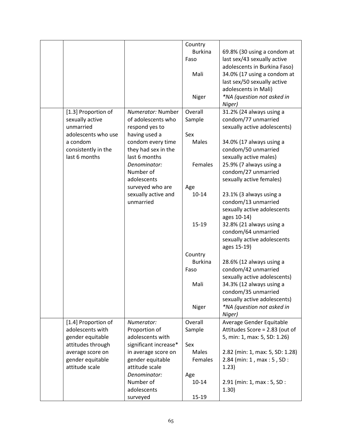|                     |                       | Country        |                                 |
|---------------------|-----------------------|----------------|---------------------------------|
|                     |                       | <b>Burkina</b> | 69.8% (30 using a condom at     |
|                     |                       | Faso           | last sex/43 sexually active     |
|                     |                       |                | adolescents in Burkina Faso)    |
|                     |                       | Mali           | 34.0% (17 using a condom at     |
|                     |                       |                |                                 |
|                     |                       |                | last sex/50 sexually active     |
|                     |                       |                | adolescents in Mali)            |
|                     |                       | Niger          | *NA (question not asked in      |
|                     |                       |                | Niger)                          |
| [1.3] Proportion of | Numerator: Number     | Overall        | 31.2% (24 always using a        |
| sexually active     | of adolescents who    | Sample         | condom/77 unmarried             |
| unmarried           | respond yes to        |                | sexually active adolescents)    |
| adolescents who use | having used a         | Sex            |                                 |
| a condom            | condom every time     | Males          | 34.0% (17 always using a        |
| consistently in the | they had sex in the   |                | condom/50 unmarried             |
| last 6 months       | last 6 months         |                | sexually active males)          |
|                     | Denominator:          | Females        | 25.9% (7 always using a         |
|                     | Number of             |                | condom/27 unmarried             |
|                     | adolescents           |                | sexually active females)        |
|                     | surveyed who are      | Age            |                                 |
|                     | sexually active and   | $10 - 14$      | 23.1% (3 always using a         |
|                     | unmarried             |                | condom/13 unmarried             |
|                     |                       |                | sexually active adolescents     |
|                     |                       |                | ages 10-14)                     |
|                     |                       | $15 - 19$      | 32.8% (21 always using a        |
|                     |                       |                | condom/64 unmarried             |
|                     |                       |                | sexually active adolescents     |
|                     |                       |                | ages 15-19)                     |
|                     |                       | Country        |                                 |
|                     |                       | <b>Burkina</b> | 28.6% (12 always using a        |
|                     |                       | Faso           | condom/42 unmarried             |
|                     |                       |                | sexually active adolescents)    |
|                     |                       | Mali           | 34.3% (12 always using a        |
|                     |                       |                | condom/35 unmarried             |
|                     |                       |                | sexually active adolescents)    |
|                     |                       | Niger          | *NA (question not asked in      |
|                     |                       |                | Niger)                          |
| [1.4] Proportion of | Numerator:            | Overall        | Average Gender Equitable        |
| adolescents with    | Proportion of         | Sample         | Attitudes Score = 2.83 (out of  |
| gender equitable    | adolescents with      |                | 5, min: 1, max: 5, SD: 1.26)    |
| attitudes through   | significant increase* | Sex            |                                 |
| average score on    | in average score on   | Males          | 2.82 (min: 1, max: 5, SD: 1.28) |
| gender equitable    | gender equitable      | Females        | 2.84 (min: 1, max: 5, SD:       |
| attitude scale      | attitude scale        |                | 1.23)                           |
|                     | Denominator:          | Age            |                                 |
|                     | Number of             | $10 - 14$      | 2.91 (min: 1, max: 5, SD:       |
|                     | adolescents           |                | 1.30)                           |
|                     | surveyed              | $15-19$        |                                 |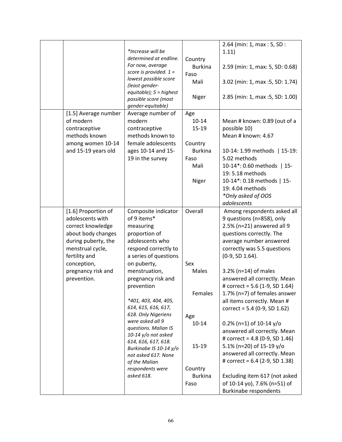|                      |                           |                | 2.64 (min: 1, max: 5, SD:        |
|----------------------|---------------------------|----------------|----------------------------------|
|                      | *Increase will be         |                | 1.11)                            |
|                      | determined at endline.    |                |                                  |
|                      | For now, average          | Country        |                                  |
|                      | score is provided. $1 =$  | <b>Burkina</b> | 2.59 (min: 1, max: 5, SD: 0.68)  |
|                      | lowest possible score     | Faso           |                                  |
|                      | (least gender-            | Mali           | 3.02 (min: 1, max : 5, SD: 1.74) |
|                      | $equitable);$ 5 = highest |                |                                  |
|                      | possible score (most      | Niger          | 2.85 (min: 1, max :5, SD: 1.00)  |
|                      | gender-equitable)         |                |                                  |
| [1.5] Average number | Average number of         | Age            |                                  |
| of modern            | modern                    | $10 - 14$      | Mean # known: 0.89 (out of a     |
| contraceptive        | contraceptive             | $15-19$        | possible 10)                     |
|                      |                           |                |                                  |
| methods known        | methods known to          |                | Mean # known: 4.67               |
| among women 10-14    | female adolescents        | Country        |                                  |
| and 15-19 years old  | ages 10-14 and 15-        | <b>Burkina</b> | 10-14: 1.99 methods   15-19:     |
|                      | 19 in the survey          | Faso           | 5.02 methods                     |
|                      |                           | Mali           | 10-14*: 0.60 methods   15-       |
|                      |                           |                | 19: 5.18 methods                 |
|                      |                           | Niger          | 10-14*: 0.18 methods   15-       |
|                      |                           |                | 19: 4.04 methods                 |
|                      |                           |                |                                  |
|                      |                           |                | *Only asked of OOS               |
|                      |                           |                | adolescents                      |
| [1.6] Proportion of  | Composite indicator       | Overall        | Among respondents asked all      |
| adolescents with     | of 9 items*               |                | 9 questions (n=858), only        |
| correct knowledge    | measuring                 |                | 2.5% (n=21) answered all 9       |
| about body changes   | proportion of             |                | questions correctly. The         |
| during puberty, the  | adolescents who           |                | average number answered          |
| menstrual cycle,     | respond correctly to      |                | correctly was 5.5 questions      |
| fertility and        | a series of questions     |                | (0-9, SD 1.64).                  |
| conception,          | on puberty,               | Sex            |                                  |
| pregnancy risk and   | menstruation,             | Males          | 3.2% (n=14) of males             |
|                      |                           |                |                                  |
| prevention.          | pregnancy risk and        |                | answered all correctly. Mean     |
|                      | prevention                |                | # correct = 5.6 (1-9, SD 1.64)   |
|                      |                           | Females        | 1.7% (n=7) of females answer     |
|                      | *401, 403, 404, 405,      |                | all items correctly. Mean #      |
|                      | 614, 615, 616, 617,       |                | correct = $5.4$ (0-9, SD 1.62)   |
|                      | 618. Only Nigeriens       | Age            |                                  |
|                      | were asked all 9          | $10 - 14$      | $0.2\%$ (n=1) of 10-14 y/o       |
|                      | questions. Malian IS      |                | answered all correctly. Mean     |
|                      | 10-14 y/o not asked       |                | # correct = $4.8$ (0-9, SD 1.46) |
|                      | 614, 616, 617, 618.       | $15 - 19$      | 5.1% (n=20) of 15-19 y/o         |
|                      | Burkinabe IS 10-14 y/o    |                | answered all correctly. Mean     |
|                      | not asked 617. None       |                |                                  |
|                      | of the Malian             |                | # correct = 6.4 (2-9, SD 1.38)   |
|                      | respondents were          | Country        |                                  |
|                      | asked 618.                | <b>Burkina</b> | Excluding item 617 (not asked    |
|                      |                           | Faso           | of 10-14 yo), 7.6% (n=51) of     |
|                      |                           |                | <b>Burkinabe respondents</b>     |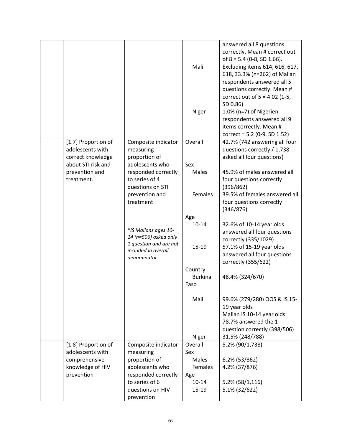|                     |                        |                | answered all 8 questions        |
|---------------------|------------------------|----------------|---------------------------------|
|                     |                        |                | correctly. Mean # correct out   |
|                     |                        |                | of $8 = 5.4$ (0-8, SD 1.66).    |
|                     |                        | Mali           | Excluding items 614, 616, 617,  |
|                     |                        |                | 618, 33.3% (n=262) of Malian    |
|                     |                        |                | respondents answered all 5      |
|                     |                        |                | questions correctly. Mean #     |
|                     |                        |                |                                 |
|                     |                        |                | correct out of $5 = 4.02$ (1-5, |
|                     |                        |                | SD 0.86)                        |
|                     |                        | Niger          | 1.0% (n=7) of Nigerien          |
|                     |                        |                | respondents answered all 9      |
|                     |                        |                | items correctly. Mean #         |
|                     |                        |                | correct = $5.2$ (0-9, SD 1.52)  |
| [1.7] Proportion of | Composite indicator    | Overall        | 42.7% (742 answering all four   |
| adolescents with    | measuring              |                | questions correctly / 1,738     |
| correct knowledge   | proportion of          |                | asked all four questions)       |
| about STI risk and  | adolescents who        | Sex            |                                 |
| prevention and      | responded correctly    | Males          | 45.9% of males answered all     |
| treatment.          | to series of 4         |                | four questions correctly        |
|                     | questions on STI       |                | (396/862)                       |
|                     | prevention and         | Females        | 39.5% of females answered all   |
|                     | treatment              |                | four questions correctly        |
|                     |                        |                | (346/876)                       |
|                     |                        | Age            |                                 |
|                     |                        | $10 - 14$      |                                 |
|                     | *IS Malians ages 10-   |                | 32.6% of 10-14 year olds        |
|                     | 14 (n=506) asked only  |                | answered all four questions     |
|                     | 1 question and are not |                | correctly (335/1029)            |
|                     | included in overall    | 15-19          | 57.1% of 15-19 year olds        |
|                     | denominator            |                | answered all four questions     |
|                     |                        |                | correctly (355/622)             |
|                     |                        | Country        |                                 |
|                     |                        | <b>Burkina</b> | 48.4% (324/670)                 |
|                     |                        | Faso           |                                 |
|                     |                        |                |                                 |
|                     |                        | Mali           | 99.6% (279/280) OOS & IS 15-    |
|                     |                        |                | 19 year olds                    |
|                     |                        |                | Malian IS 10-14 year olds:      |
|                     |                        |                | 78.7% answered the 1            |
|                     |                        |                | question correctly (398/506)    |
|                     |                        | Niger          | 31.5% (248/788)                 |
| [1.8] Proportion of | Composite indicator    | Overall        | 5.2% (90/1,738)                 |
| adolescents with    | measuring              | Sex            |                                 |
| comprehensive       | proportion of          | Males          | 6.2% (53/862)                   |
| knowledge of HIV    | adolescents who        | <b>Females</b> | 4.2% (37/876)                   |
| prevention          | responded correctly    | Age            |                                 |
|                     | to series of 6         | $10 - 14$      | $5.2\%$ (58/1,116)              |
|                     |                        |                |                                 |
|                     | questions on HIV       | 15-19          | 5.1% (32/622)                   |
|                     | prevention             |                |                                 |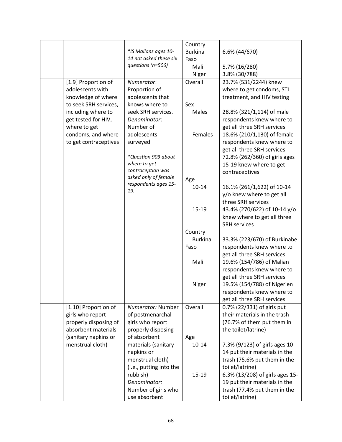|                                         |                                    | Country        |                                 |
|-----------------------------------------|------------------------------------|----------------|---------------------------------|
|                                         | *IS Malians ages 10-               | <b>Burkina</b> | 6.6% (44/670)                   |
|                                         | 14 not asked these six             | Faso           |                                 |
|                                         | questions (n=506)                  | Mali           | 5.7% (16/280)                   |
|                                         |                                    | Niger          | 3.8% (30/788)                   |
|                                         | Numerator:                         | Overall        |                                 |
| [1.9] Proportion of<br>adolescents with |                                    |                | 23.7% (531/2244) knew           |
|                                         | Proportion of                      |                | where to get condoms, STI       |
| knowledge of where                      | adolescents that                   |                | treatment, and HIV testing      |
| to seek SRH services,                   | knows where to                     | Sex            |                                 |
| including where to                      | seek SRH services.                 | Males          | 28.8% (321/1,114) of male       |
| get tested for HIV,                     | Denominator:                       |                | respondents knew where to       |
| where to get                            | Number of                          |                | get all three SRH services      |
| condoms, and where                      | adolescents                        | Females        | 18.6% (210/1,130) of female     |
| to get contraceptives                   | surveyed                           |                | respondents knew where to       |
|                                         |                                    |                | get all three SRH services      |
|                                         | *Question 903 about                |                | 72.8% (262/360) of girls ages   |
|                                         | where to get                       |                | 15-19 knew where to get         |
|                                         | contraception was                  |                | contraceptives                  |
|                                         | asked only of female               | Age            |                                 |
|                                         | respondents ages 15-               | $10 - 14$      | 16.1% (261/1,622) of 10-14      |
|                                         | 19.                                |                | y/o knew where to get all       |
|                                         |                                    |                | three SRH services              |
|                                         |                                    |                |                                 |
|                                         |                                    | 15-19          | 43.4% (270/622) of 10-14 y/o    |
|                                         |                                    |                | knew where to get all three     |
|                                         |                                    |                | <b>SRH services</b>             |
|                                         |                                    | Country        |                                 |
|                                         |                                    | <b>Burkina</b> | 33.3% (223/670) of Burkinabe    |
|                                         |                                    | Faso           | respondents knew where to       |
|                                         |                                    |                | get all three SRH services      |
|                                         |                                    | Mali           | 19.6% (154/786) of Malian       |
|                                         |                                    |                | respondents knew where to       |
|                                         |                                    |                | get all three SRH services      |
|                                         |                                    | Niger          | 19.5% (154/788) of Nigerien     |
|                                         |                                    |                | respondents knew where to       |
|                                         |                                    |                | get all three SRH services      |
| [1.10] Proportion of                    | Numerator: Number                  | Overall        | 0.7% (22/331) of girls put      |
| girls who report                        | of postmenarchal                   |                | their materials in the trash    |
| properly disposing of                   | girls who report                   |                | (76.7% of them put them in      |
| absorbent materials                     |                                    |                | the toilet/latrine)             |
|                                         | properly disposing<br>of absorbent |                |                                 |
| (sanitary napkins or                    |                                    | Age            |                                 |
| menstrual cloth)                        | materials (sanitary                | $10 - 14$      | 7.3% (9/123) of girls ages 10-  |
|                                         | napkins or                         |                | 14 put their materials in the   |
|                                         | menstrual cloth)                   |                | trash (75.6% put them in the    |
|                                         | (i.e., putting into the            |                | toilet/latrine)                 |
|                                         | rubbish)                           | 15-19          | 6.3% (13/208) of girls ages 15- |
|                                         | Denominator:                       |                | 19 put their materials in the   |
|                                         | Number of girls who                |                | trash (77.4% put them in the    |
|                                         | use absorbent                      |                | toilet/latrine)                 |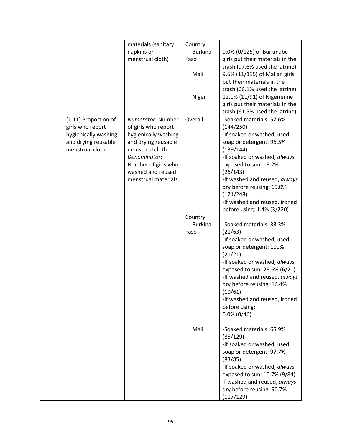|                      | materials (sanitary                      | Country        |                                                           |
|----------------------|------------------------------------------|----------------|-----------------------------------------------------------|
|                      | napkins or                               | <b>Burkina</b> | 0.0% (0/125) of Burkinabe                                 |
|                      | menstrual cloth)                         | Faso           | girls put their materials in the                          |
|                      |                                          |                | trash (97.6% used the latrine)                            |
|                      |                                          | Mali           | 9.6% (11/115) of Malian girls                             |
|                      |                                          |                | put their materials in the                                |
|                      |                                          |                | trash (66.1% used the latrine)                            |
|                      |                                          | Niger          | 12.1% (11/91) of Nigerienne                               |
|                      |                                          |                | girls put their materials in the                          |
|                      |                                          |                | trash (61.5% used the latrine)                            |
| [1.11] Proportion of | Numerator: Number                        | Overall        | -Soaked materials: 57.6%                                  |
| girls who report     | of girls who report                      |                | (144/250)                                                 |
| hygienically washing | hygienically washing                     |                | -If soaked or washed, used                                |
| and drying reusable  | and drying reusable                      |                | soap or detergent: 96.5%                                  |
| menstrual cloth      | menstrual cloth                          |                | (139/144)                                                 |
|                      | Denominator:                             |                | -If soaked or washed, always                              |
|                      | Number of girls who                      |                | exposed to sun: 18.2%                                     |
|                      | washed and reused<br>menstrual materials |                | (26/143)                                                  |
|                      |                                          |                | -If washed and reused, always                             |
|                      |                                          |                | dry before reusing: 69.0%<br>(171/248)                    |
|                      |                                          |                | -If washed and reused, ironed                             |
|                      |                                          |                | before using: 1.4% (3/220)                                |
|                      |                                          | Country        |                                                           |
|                      |                                          | <b>Burkina</b> | -Soaked materials: 33.3%                                  |
|                      |                                          | Faso           | (21/63)                                                   |
|                      |                                          |                | -If soaked or washed, used                                |
|                      |                                          |                | soap or detergent: 100%                                   |
|                      |                                          |                | (21/21)                                                   |
|                      |                                          |                | -If soaked or washed, always                              |
|                      |                                          |                | exposed to sun: 28.6% (6/21)                              |
|                      |                                          |                | -If washed and reused, always                             |
|                      |                                          |                | dry before reusing: 16.4%                                 |
|                      |                                          |                | (10/61)                                                   |
|                      |                                          |                | -If washed and reused, ironed                             |
|                      |                                          |                | before using:                                             |
|                      |                                          |                | $0.0\%$ (0/46)                                            |
|                      |                                          |                |                                                           |
|                      |                                          | Mali           | -Soaked materials: 65.9%                                  |
|                      |                                          |                | (85/129)                                                  |
|                      |                                          |                | -If soaked or washed, used                                |
|                      |                                          |                | soap or detergent: 97.7%                                  |
|                      |                                          |                | (83/85)                                                   |
|                      |                                          |                | -If soaked or washed, always                              |
|                      |                                          |                | exposed to sun: 10.7% (9/84)-                             |
|                      |                                          |                |                                                           |
|                      |                                          |                | If washed and reused, always<br>dry before reusing: 90.7% |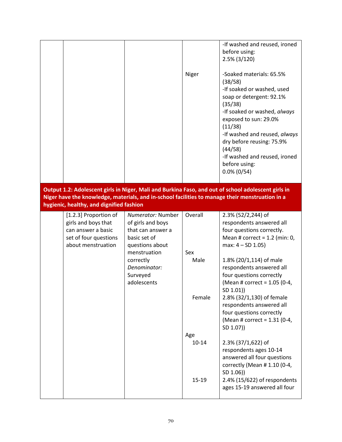|                                                                                                                                                                                                                                                    |                                                                                                                                             | Niger                  | -If washed and reused, ironed<br>before using:<br>$2.5\%$ (3/120)<br>-Soaked materials: 65.5%<br>(38/58)<br>-If soaked or washed, used<br>soap or detergent: 92.1%<br>(35/38)<br>-If soaked or washed, always<br>exposed to sun: 29.0%<br>(11/38)<br>-If washed and reused, always<br>dry before reusing: 75.9%<br>(44/58)<br>-If washed and reused, ironed<br>before using:<br>$0.0\%$ (0/54) |  |  |  |
|----------------------------------------------------------------------------------------------------------------------------------------------------------------------------------------------------------------------------------------------------|---------------------------------------------------------------------------------------------------------------------------------------------|------------------------|------------------------------------------------------------------------------------------------------------------------------------------------------------------------------------------------------------------------------------------------------------------------------------------------------------------------------------------------------------------------------------------------|--|--|--|
| Output 1.2: Adolescent girls in Niger, Mali and Burkina Faso, and out of school adolescent girls in<br>Niger have the knowledge, materials, and in-school facilities to manage their menstruation in a<br>hygienic, healthy, and dignified fashion |                                                                                                                                             |                        |                                                                                                                                                                                                                                                                                                                                                                                                |  |  |  |
| [1.2.3] Proportion of<br>girls and boys that<br>can answer a basic<br>set of four questions<br>about menstruation                                                                                                                                  | Numerator: Number<br>of girls and boys<br>that can answer a<br>basic set of<br>questions about<br>menstruation<br>correctly<br>Denominator: | Overall<br>Sex<br>Male | 2.3% (52/2,244) of<br>respondents answered all<br>four questions correctly.<br>Mean # correct = $1.2$ (min: 0,<br>max: $4 - SD 1.05$ )<br>1.8% (20/1,114) of male<br>respondents answered all                                                                                                                                                                                                  |  |  |  |
|                                                                                                                                                                                                                                                    | Surveyed<br>adolescents                                                                                                                     | Female                 | four questions correctly<br>(Mean # correct = 1.05 (0-4,<br>SD 1.01))<br>2.8% (32/1,130) of female<br>respondents answered all<br>four questions correctly<br>(Mean # correct = 1.31 (0-4,<br>SD 1.07))                                                                                                                                                                                        |  |  |  |
|                                                                                                                                                                                                                                                    |                                                                                                                                             | Age<br>$10 - 14$       | 2.3% (37/1,622) of<br>respondents ages 10-14<br>answered all four questions<br>correctly (Mean #1.10 (0-4,<br>SD 1.06))                                                                                                                                                                                                                                                                        |  |  |  |
|                                                                                                                                                                                                                                                    |                                                                                                                                             | $15 - 19$              | 2.4% (15/622) of respondents<br>ages 15-19 answered all four                                                                                                                                                                                                                                                                                                                                   |  |  |  |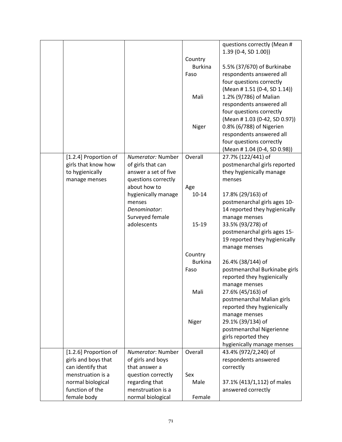|                       |                      |                | questions correctly (Mean #   |
|-----------------------|----------------------|----------------|-------------------------------|
|                       |                      |                | $1.39(0-4, SD 1.00)$          |
|                       |                      | Country        |                               |
|                       |                      | <b>Burkina</b> | 5.5% (37/670) of Burkinabe    |
|                       |                      |                |                               |
|                       |                      | Faso           | respondents answered all      |
|                       |                      |                | four questions correctly      |
|                       |                      |                | (Mean #1.51 (0-4, SD 1.14))   |
|                       |                      | Mali           | 1.2% (9/786) of Malian        |
|                       |                      |                | respondents answered all      |
|                       |                      |                | four questions correctly      |
|                       |                      |                | (Mean #1.03 (0-42, SD 0.97))  |
|                       |                      | Niger          | 0.8% (6/788) of Nigerien      |
|                       |                      |                | respondents answered all      |
|                       |                      |                | four questions correctly      |
|                       |                      |                | (Mean #1.04 (0-4, SD 0.98))   |
|                       |                      |                |                               |
| [1.2.4] Proportion of | Numerator: Number    | Overall        | 27.7% (122/441) of            |
| girls that know how   | of girls that can    |                | postmenarchal girls reported  |
| to hygienically       | answer a set of five |                | they hygienically manage      |
| manage menses         | questions correctly  |                | menses                        |
|                       | about how to         | Age            |                               |
|                       | hygienically manage  | $10 - 14$      | 17.8% (29/163) of             |
|                       | menses               |                | postmenarchal girls ages 10-  |
|                       | Denominator:         |                | 14 reported they hygienically |
|                       | Surveyed female      |                | manage menses                 |
|                       | adolescents          | $15 - 19$      | 33.5% (93/278) of             |
|                       |                      |                | postmenarchal girls ages 15-  |
|                       |                      |                | 19 reported they hygienically |
|                       |                      |                |                               |
|                       |                      |                | manage menses                 |
|                       |                      | Country        |                               |
|                       |                      | <b>Burkina</b> | 26.4% (38/144) of             |
|                       |                      | Faso           | postmenarchal Burkinabe girls |
|                       |                      |                | reported they hygienically    |
|                       |                      |                | manage menses                 |
|                       |                      | Mali           | 27.6% (45/163) of             |
|                       |                      |                | postmenarchal Malian girls    |
|                       |                      |                | reported they hygienically    |
|                       |                      |                | manage menses                 |
|                       |                      | Niger          | 29.1% (39/134) of             |
|                       |                      |                | postmenarchal Nigerienne      |
|                       |                      |                | girls reported they           |
|                       |                      |                |                               |
|                       |                      |                | hygienically manage menses    |
| [1.2.6] Proportion of | Numerator: Number    | Overall        | 43.4% (972/2,240) of          |
| girls and boys that   | of girls and boys    |                | respondents answered          |
| can identify that     | that answer a        |                | correctly                     |
| menstruation is a     | question correctly   | Sex            |                               |
| normal biological     | regarding that       | Male           | 37.1% (413/1,112) of males    |
| function of the       | menstruation is a    |                | answered correctly            |
| female body           | normal biological    | Female         |                               |